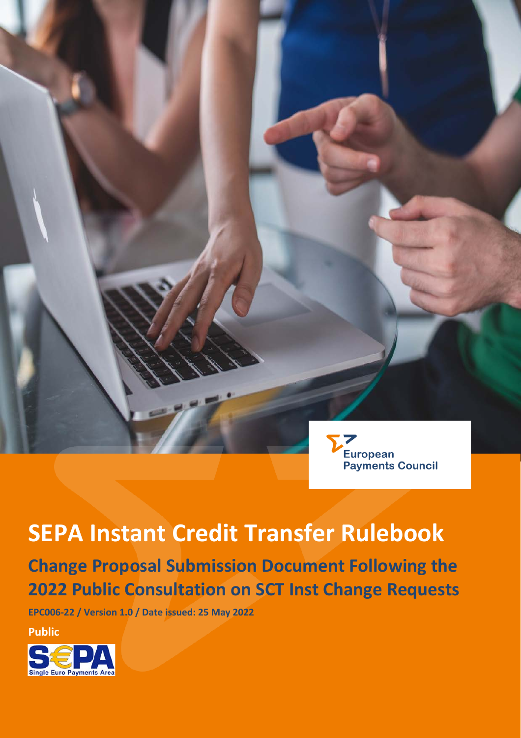

# **SEPA Instant Credit Transfer Rulebook**

# **Change Proposal Submission Document Following the 2022 Public Consultation on SCT Inst Change Requests**

**EPC006-22 / Version 1.0 / Date issued: 25 May 2022**

**Public**

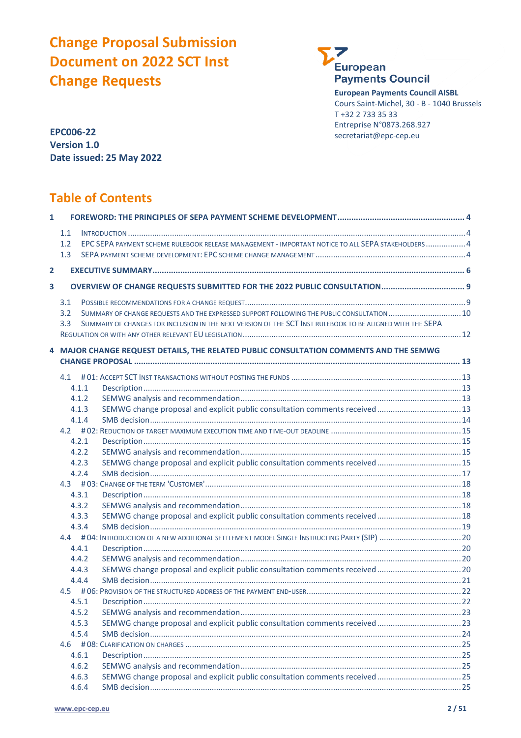# **Change Proposal Submission Document on 2022 SCT Inst Change Requests**



**European Payments Council AISBL** Cours Saint-Michel, 30 - B - 1040 Brussels T +32 2 733 35 33 Entreprise N°0873.268.927 secretariat@epc-cep.eu

**EPC006-22 Version 1.0 Date issued: 25 May 2022**

# **Table of Contents**

| $\mathbf{1}$            |                  |                                                                                                           |  |
|-------------------------|------------------|-----------------------------------------------------------------------------------------------------------|--|
|                         | 1.1              |                                                                                                           |  |
|                         | 1.2              | EPC SEPA PAYMENT SCHEME RULEBOOK RELEASE MANAGEMENT - IMPORTANT NOTICE TO ALL SEPA STAKEHOLDERS  4        |  |
|                         | 1.3              |                                                                                                           |  |
| $\overline{2}$          |                  |                                                                                                           |  |
|                         |                  |                                                                                                           |  |
| $\overline{\mathbf{3}}$ |                  | OVERVIEW OF CHANGE REQUESTS SUBMITTED FOR THE 2022 PUBLIC CONSULTATION 9                                  |  |
|                         | 3.1              |                                                                                                           |  |
|                         | 3.2              | SUMMARY OF CHANGE REQUESTS AND THE EXPRESSED SUPPORT FOLLOWING THE PUBLIC CONSULTATION  10                |  |
|                         | 3.3 <sub>1</sub> | SUMMARY OF CHANGES FOR INCLUSION IN THE NEXT VERSION OF THE SCT INST RULEBOOK TO BE ALIGNED WITH THE SEPA |  |
|                         |                  |                                                                                                           |  |
|                         |                  | 4 MAJOR CHANGE REQUEST DETAILS, THE RELATED PUBLIC CONSULTATION COMMENTS AND THE SEMWG                    |  |
|                         |                  |                                                                                                           |  |
|                         |                  |                                                                                                           |  |
|                         | 4.1.1            |                                                                                                           |  |
|                         | 4.1.2            |                                                                                                           |  |
|                         | 4.1.3            | SEMWG change proposal and explicit public consultation comments received  13                              |  |
|                         | 4.1.4            |                                                                                                           |  |
|                         |                  |                                                                                                           |  |
|                         | 4.2.1            |                                                                                                           |  |
|                         | 4.2.2            |                                                                                                           |  |
|                         | 4.2.3            |                                                                                                           |  |
|                         | 4.2.4            |                                                                                                           |  |
|                         |                  |                                                                                                           |  |
|                         | 4.3.1            |                                                                                                           |  |
|                         | 4.3.2            |                                                                                                           |  |
|                         | 4.3.3<br>4.3.4   | SEMWG change proposal and explicit public consultation comments received  18                              |  |
|                         |                  |                                                                                                           |  |
|                         | 4.4.1            |                                                                                                           |  |
|                         | 4.4.2            |                                                                                                           |  |
|                         | 4.4.3            |                                                                                                           |  |
|                         | 4.4.4            |                                                                                                           |  |
|                         |                  |                                                                                                           |  |
|                         | 4.5.1            |                                                                                                           |  |
|                         | 4.5.2            |                                                                                                           |  |
|                         | 4.5.3            | SEMWG change proposal and explicit public consultation comments received  23                              |  |
|                         | 4.5.4            |                                                                                                           |  |
|                         | 4.6              |                                                                                                           |  |
|                         | 4.6.1            |                                                                                                           |  |
|                         | 4.6.2            |                                                                                                           |  |
|                         | 4.6.3            | SEMWG change proposal and explicit public consultation comments received 25                               |  |
|                         | 4.6.4            |                                                                                                           |  |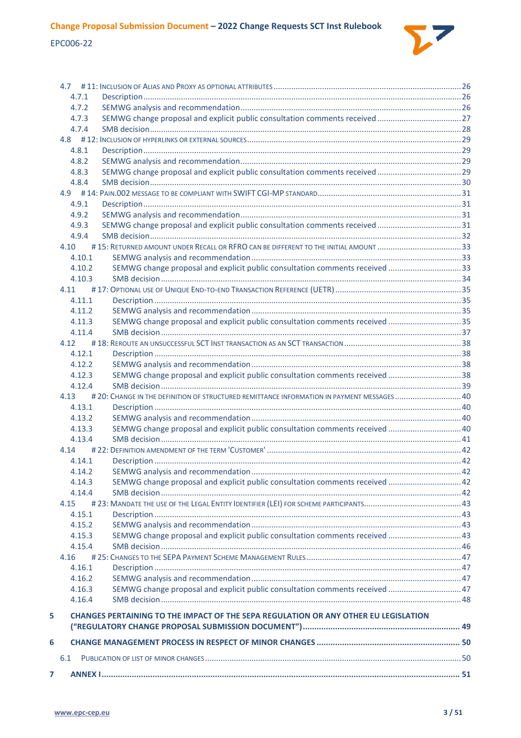

|   | 4.7.1            |                                                                                             |  |
|---|------------------|---------------------------------------------------------------------------------------------|--|
|   | 4.7.2            |                                                                                             |  |
|   | 4.7.3            |                                                                                             |  |
|   | 4.7.4            |                                                                                             |  |
|   |                  |                                                                                             |  |
|   | 4.8.1            |                                                                                             |  |
|   | 4.8.2            |                                                                                             |  |
|   | 4.8.3<br>4.8.4   | SEMWG change proposal and explicit public consultation comments received  29                |  |
|   |                  |                                                                                             |  |
|   | 4.9.1            |                                                                                             |  |
|   | 4.9.2            |                                                                                             |  |
|   | 4.9.3            | SEMWG change proposal and explicit public consultation comments received  31                |  |
|   | 4.9.4            |                                                                                             |  |
|   | 4.10             |                                                                                             |  |
|   | 4.10.1           |                                                                                             |  |
|   | 4.10.2           | SEMWG change proposal and explicit public consultation comments received 33                 |  |
|   | 4.10.3           |                                                                                             |  |
|   | 4.11             |                                                                                             |  |
|   | 4.11.1           |                                                                                             |  |
|   | 4.11.2           |                                                                                             |  |
|   | 4.11.3           | SEMWG change proposal and explicit public consultation comments received 35                 |  |
|   | 4.11.4           |                                                                                             |  |
|   | 4.12             |                                                                                             |  |
|   | 4.12.1           |                                                                                             |  |
|   | 4.12.2           |                                                                                             |  |
|   | 4.12.3           | SEMWG change proposal and explicit public consultation comments received  38                |  |
|   | 4.12.4           |                                                                                             |  |
|   | 4.13             | # 20: CHANGE IN THE DEFINITION OF STRUCTURED REMITTANCE INFORMATION IN PAYMENT MESSAGES  40 |  |
|   | 4.13.1           |                                                                                             |  |
|   | 4.13.2           |                                                                                             |  |
|   | 4.13.3           | SEMWG change proposal and explicit public consultation comments received  40                |  |
|   | 4.13.4           |                                                                                             |  |
|   |                  |                                                                                             |  |
|   | 4.14.1           |                                                                                             |  |
|   | 4 14 2           |                                                                                             |  |
|   | 4.14.3<br>4.14.4 | SEMWG change proposal and explicit public consultation comments received  42                |  |
|   | 4.15             |                                                                                             |  |
|   | 4.15.1           |                                                                                             |  |
|   | 4.15.2           |                                                                                             |  |
|   | 4.15.3           | SEMWG change proposal and explicit public consultation comments received  43                |  |
|   | 4.15.4           |                                                                                             |  |
|   | 4.16             |                                                                                             |  |
|   | 4.16.1           |                                                                                             |  |
|   | 4.16.2           |                                                                                             |  |
|   | 4.16.3           | SEMWG change proposal and explicit public consultation comments received  47                |  |
|   | 4.16.4           |                                                                                             |  |
| 5 |                  | <b>CHANGES PERTAINING TO THE IMPACT OF THE SEPA REGULATION OR ANY OTHER EU LEGISLATION</b>  |  |
|   |                  |                                                                                             |  |
| 6 |                  |                                                                                             |  |
|   | 6.1              |                                                                                             |  |
| 7 |                  |                                                                                             |  |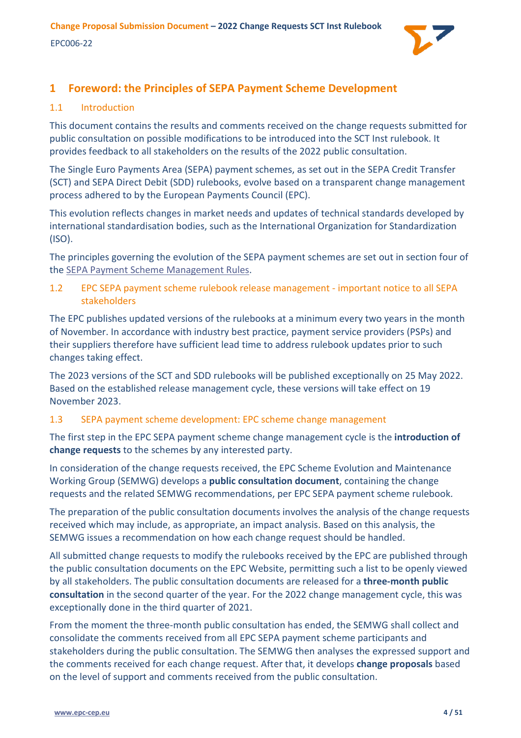

# <span id="page-3-0"></span>**1 Foreword: the Principles of SEPA Payment Scheme Development**

# <span id="page-3-1"></span>1.1 Introduction

This document contains the results and comments received on the change requests submitted for public consultation on possible modifications to be introduced into the SCT Inst rulebook. It provides feedback to all stakeholders on the results of the 2022 public consultation.

The Single Euro Payments Area (SEPA) payment schemes, as set out in the SEPA Credit Transfer (SCT) and SEPA Direct Debit (SDD) rulebooks, evolve based on a transparent change management process adhered to by the European Payments Council (EPC).

This evolution reflects changes in market needs and updates of technical standards developed by international standardisation bodies, such as the International Organization for Standardization (ISO).

The principles governing the evolution of the SEPA payment schemes are set out in section four of th[e SEPA Payment Scheme Management Rules.](https://www.europeanpaymentscouncil.eu/document-library/rulebooks/sepa-payment-scheme-management-rules)

<span id="page-3-2"></span>1.2 EPC SEPA payment scheme rulebook release management - important notice to all SEPA stakeholders

The EPC publishes updated versions of the rulebooks at a minimum every two years in the month of November. In accordance with industry best practice, payment service providers (PSPs) and their suppliers therefore have sufficient lead time to address rulebook updates prior to such changes taking effect.

The 2023 versions of the SCT and SDD rulebooks will be published exceptionally on 25 May 2022. Based on the established release management cycle, these versions will take effect on 19 November 2023.

# <span id="page-3-3"></span>1.3 SEPA payment scheme development: EPC scheme change management

The first step in the EPC SEPA payment scheme change management cycle is the **introduction of change requests** to the schemes by any interested party.

In consideration of the change requests received, the EPC Scheme Evolution and Maintenance Working Group (SEMWG) develops a **public consultation document**, containing the change requests and the related SEMWG recommendations, per EPC SEPA payment scheme rulebook.

The preparation of the public consultation documents involves the analysis of the change requests received which may include, as appropriate, an impact analysis. Based on this analysis, the SEMWG issues a recommendation on how each change request should be handled.

All submitted change requests to modify the rulebooks received by the EPC are published through the public consultation documents on the EPC Website, permitting such a list to be openly viewed by all stakeholders. The public consultation documents are released for a **three-month public consultation** in the second quarter of the year. For the 2022 change management cycle, this was exceptionally done in the third quarter of 2021.

From the moment the three-month public consultation has ended, the SEMWG shall collect and consolidate the comments received from all EPC SEPA payment scheme participants and stakeholders during the public consultation. The SEMWG then analyses the expressed support and the comments received for each change request. After that, it develops **change proposals** based on the level of support and comments received from the public consultation.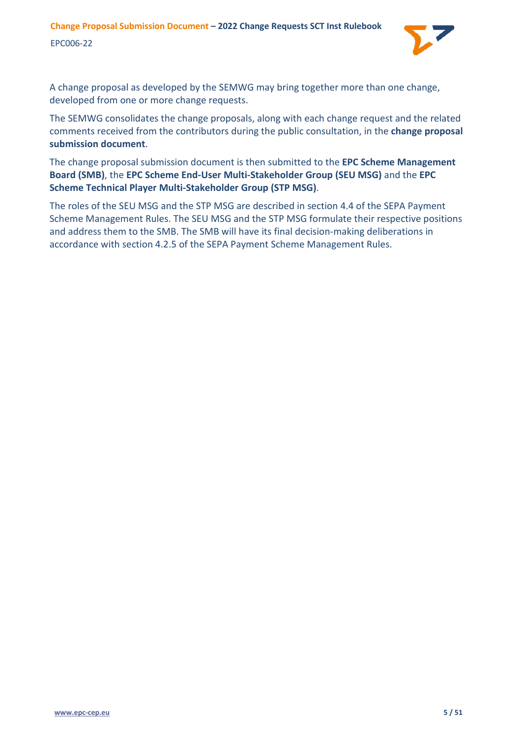

A change proposal as developed by the SEMWG may bring together more than one change, developed from one or more change requests.

The SEMWG consolidates the change proposals, along with each change request and the related comments received from the contributors during the public consultation, in the **change proposal submission document**.

The change proposal submission document is then submitted to the **EPC Scheme Management Board (SMB)**, the **EPC Scheme End-User Multi-Stakeholder Group (SEU MSG)** and the **EPC Scheme Technical Player Multi-Stakeholder Group (STP MSG)**.

The roles of the SEU MSG and the STP MSG are described in section 4.4 of the SEPA Payment Scheme Management Rules. The SEU MSG and the STP MSG formulate their respective positions and address them to the SMB. The SMB will have its final decision-making deliberations in accordance with section 4.2.5 of the SEPA Payment Scheme Management Rules.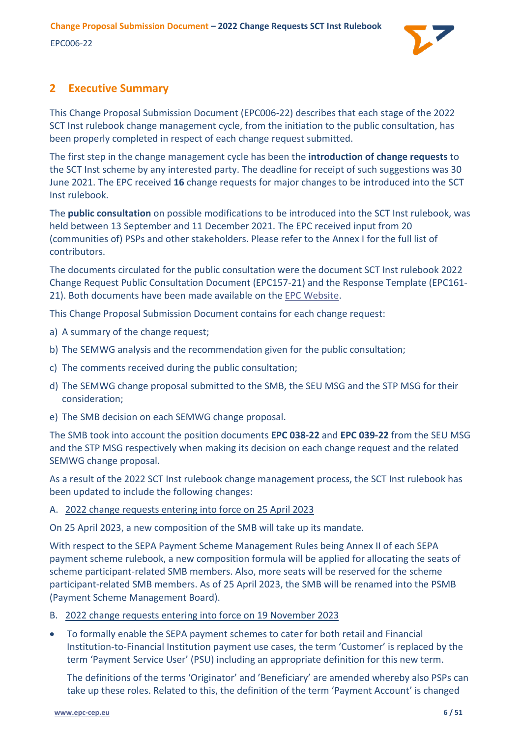

# <span id="page-5-0"></span>**2 Executive Summary**

This Change Proposal Submission Document (EPC006-22) describes that each stage of the 2022 SCT Inst rulebook change management cycle, from the initiation to the public consultation, has been properly completed in respect of each change request submitted.

The first step in the change management cycle has been the **introduction of change requests** to the SCT Inst scheme by any interested party. The deadline for receipt of such suggestions was 30 June 2021. The EPC received **16** change requests for major changes to be introduced into the SCT Inst rulebook.

The **public consultation** on possible modifications to be introduced into the SCT Inst rulebook, was held between 13 September and 11 December 2021. The EPC received input from 20 (communities of) PSPs and other stakeholders. Please refer to the [Annex I](#page-50-0) for the full list of contributors.

The documents circulated for the public consultation were the document SCT Inst rulebook 2022 Change Request Public Consultation Document (EPC157-21) and the Response Template (EPC161- 21). Both documents have been made available on the [EPC Website.](https://www.europeanpaymentscouncil.eu/document-library/rulebooks/sepa-instant-credit-transfer-rulebook-public-consultation-document-2022)

This Change Proposal Submission Document contains for each change request:

- a) A summary of the change request;
- b) The SEMWG analysis and the recommendation given for the public consultation;
- c) The comments received during the public consultation;
- d) The SEMWG change proposal submitted to the SMB, the SEU MSG and the STP MSG for their consideration;
- e) The SMB decision on each SEMWG change proposal.

The SMB took into account the position documents **EPC 038-22** and **EPC 039-22** from the SEU MSG and the STP MSG respectively when making its decision on each change request and the related SEMWG change proposal.

As a result of the 2022 SCT Inst rulebook change management process, the SCT Inst rulebook has been updated to include the following changes:

# A. 2022 change requests entering into force on 25 April 2023

On 25 April 2023, a new composition of the SMB will take up its mandate.

With respect to the SEPA Payment Scheme Management Rules being Annex II of each SEPA payment scheme rulebook, a new composition formula will be applied for allocating the seats of scheme participant-related SMB members. Also, more seats will be reserved for the scheme participant-related SMB members. As of 25 April 2023, the SMB will be renamed into the PSMB (Payment Scheme Management Board).

- B. 2022 change requests entering into force on 19 November 2023
- To formally enable the SEPA payment schemes to cater for both retail and Financial Institution-to-Financial Institution payment use cases, the term 'Customer' is replaced by the term 'Payment Service User' (PSU) including an appropriate definition for this new term.

The definitions of the terms 'Originator' and 'Beneficiary' are amended whereby also PSPs can take up these roles. Related to this, the definition of the term 'Payment Account' is changed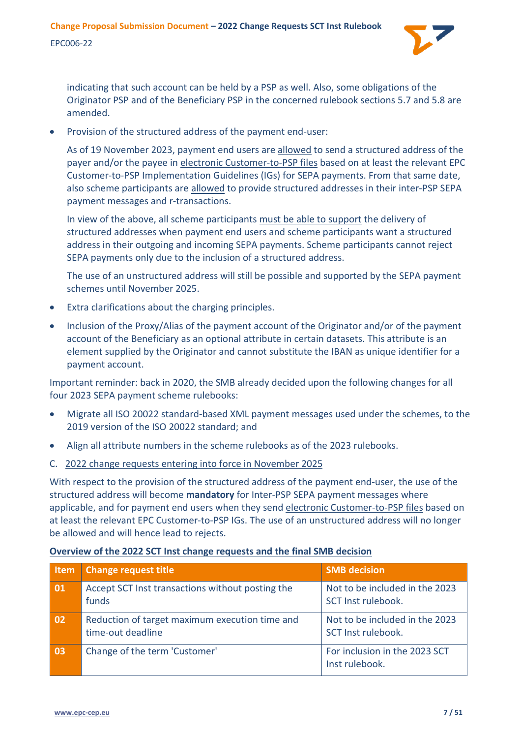

indicating that such account can be held by a PSP as well. Also, some obligations of the Originator PSP and of the Beneficiary PSP in the concerned rulebook sections 5.7 and 5.8 are amended.

• Provision of the structured address of the payment end-user:

As of 19 November 2023, payment end users are allowed to send a structured address of the payer and/or the payee in electronic Customer-to-PSP files based on at least the relevant EPC Customer-to-PSP Implementation Guidelines (IGs) for SEPA payments. From that same date, also scheme participants are allowed to provide structured addresses in their inter-PSP SEPA payment messages and r-transactions.

In view of the above, all scheme participants must be able to support the delivery of structured addresses when payment end users and scheme participants want a structured address in their outgoing and incoming SEPA payments. Scheme participants cannot reject SEPA payments only due to the inclusion of a structured address.

The use of an unstructured address will still be possible and supported by the SEPA payment schemes until November 2025.

- Extra clarifications about the charging principles.
- Inclusion of the Proxy/Alias of the payment account of the Originator and/or of the payment account of the Beneficiary as an optional attribute in certain datasets. This attribute is an element supplied by the Originator and cannot substitute the IBAN as unique identifier for a payment account.

Important reminder: back in 2020, the SMB already decided upon the following changes for all four 2023 SEPA payment scheme rulebooks:

- Migrate all ISO 20022 standard-based XML payment messages used under the schemes, to the 2019 version of the ISO 20022 standard; and
- Align all attribute numbers in the scheme rulebooks as of the 2023 rulebooks.
- C. 2022 change requests entering into force in November 2025

With respect to the provision of the structured address of the payment end-user, the use of the structured address will become **mandatory** for Inter-PSP SEPA payment messages where applicable, and for payment end users when they send electronic Customer-to-PSP files based on at least the relevant EPC Customer-to-PSP IGs. The use of an unstructured address will no longer be allowed and will hence lead to rejects.

# **Overview of the 2022 SCT Inst change requests and the final SMB decision**

| <b>Item</b> | <b>Change request title</b>                                         | <b>SMB</b> decision                                  |
|-------------|---------------------------------------------------------------------|------------------------------------------------------|
| 01          | Accept SCT Inst transactions without posting the<br>funds           | Not to be included in the 2023<br>SCT Inst rulebook. |
| 02          | Reduction of target maximum execution time and<br>time-out deadline | Not to be included in the 2023<br>SCT Inst rulebook. |
| 03          | Change of the term 'Customer'                                       | For inclusion in the 2023 SCT<br>Inst rulebook.      |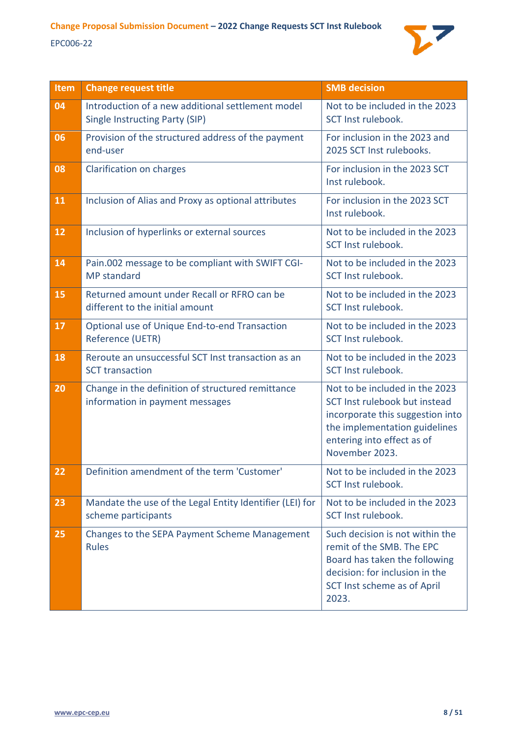

| Item | <b>Change request title</b>                                                          | <b>SMB</b> decision                                                                                                                                                                  |
|------|--------------------------------------------------------------------------------------|--------------------------------------------------------------------------------------------------------------------------------------------------------------------------------------|
| 04   | Introduction of a new additional settlement model<br>Single Instructing Party (SIP)  | Not to be included in the 2023<br>SCT Inst rulebook.                                                                                                                                 |
| 06   | Provision of the structured address of the payment<br>end-user                       | For inclusion in the 2023 and<br>2025 SCT Inst rulebooks.                                                                                                                            |
| 08   | Clarification on charges                                                             | For inclusion in the 2023 SCT<br>Inst rulebook.                                                                                                                                      |
| 11   | Inclusion of Alias and Proxy as optional attributes                                  | For inclusion in the 2023 SCT<br>Inst rulebook.                                                                                                                                      |
| 12   | Inclusion of hyperlinks or external sources                                          | Not to be included in the 2023<br>SCT Inst rulebook.                                                                                                                                 |
| 14   | Pain.002 message to be compliant with SWIFT CGI-<br><b>MP</b> standard               | Not to be included in the 2023<br>SCT Inst rulebook.                                                                                                                                 |
| 15   | Returned amount under Recall or RFRO can be<br>different to the initial amount       | Not to be included in the 2023<br>SCT Inst rulebook.                                                                                                                                 |
| 17   | Optional use of Unique End-to-end Transaction<br>Reference (UETR)                    | Not to be included in the 2023<br>SCT Inst rulebook.                                                                                                                                 |
| 18   | Reroute an unsuccessful SCT Inst transaction as an<br><b>SCT</b> transaction         | Not to be included in the 2023<br>SCT Inst rulebook.                                                                                                                                 |
| 20   | Change in the definition of structured remittance<br>information in payment messages | Not to be included in the 2023<br>SCT Inst rulebook but instead<br>incorporate this suggestion into<br>the implementation guidelines<br>entering into effect as of<br>November 2023. |
| 22   | Definition amendment of the term 'Customer'                                          | Not to be included in the 2023<br>SCT Inst rulebook.                                                                                                                                 |
| 23   | Mandate the use of the Legal Entity Identifier (LEI) for<br>scheme participants      | Not to be included in the 2023<br>SCT Inst rulebook.                                                                                                                                 |
| 25   | Changes to the SEPA Payment Scheme Management<br><b>Rules</b>                        | Such decision is not within the<br>remit of the SMB. The EPC<br>Board has taken the following<br>decision: for inclusion in the<br>SCT Inst scheme as of April<br>2023.              |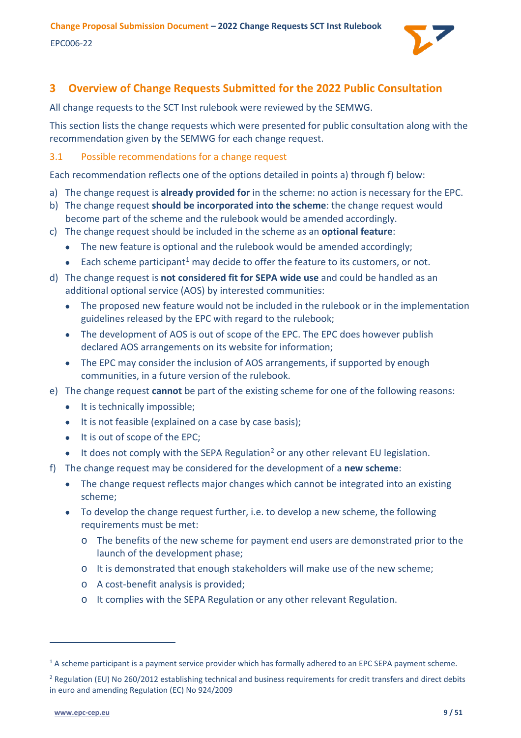

# <span id="page-8-0"></span>**3 Overview of Change Requests Submitted for the 2022 Public Consultation**

All change requests to the SCT Inst rulebook were reviewed by the SEMWG.

This section lists the change requests which were presented for public consultation along with the recommendation given by the SEMWG for each change request.

# <span id="page-8-1"></span>3.1 Possible recommendations for a change request

Each recommendation reflects one of the options detailed in points a) through f) below:

- a) The change request is **already provided for** in the scheme: no action is necessary for the EPC.
- b) The change request **should be incorporated into the scheme**: the change request would become part of the scheme and the rulebook would be amended accordingly.
- c) The change request should be included in the scheme as an **optional feature**:
	- The new feature is optional and the rulebook would be amended accordingly;
	- Each scheme participant<sup>[1](#page-8-2)</sup> may decide to offer the feature to its customers, or not.
- d) The change request is **not considered fit for SEPA wide use** and could be handled as an additional optional service (AOS) by interested communities:
	- The proposed new feature would not be included in the rulebook or in the implementation guidelines released by the EPC with regard to the rulebook;
	- The development of AOS is out of scope of the EPC. The EPC does however publish declared AOS arrangements on its website for information;
	- The EPC may consider the inclusion of AOS arrangements, if supported by enough communities, in a future version of the rulebook.
- e) The change request **cannot** be part of the existing scheme for one of the following reasons:
	- It is technically impossible;
	- It is not feasible (explained on a case by case basis);
	- It is out of scope of the EPC;
	- $\bullet$  It does not comply with the SEPA Regulation<sup>[2](#page-8-3)</sup> or any other relevant EU legislation.
- f) The change request may be considered for the development of a **new scheme**:
	- The change request reflects major changes which cannot be integrated into an existing scheme;
	- To develop the change request further, i.e. to develop a new scheme, the following requirements must be met:
		- o The benefits of the new scheme for payment end users are demonstrated prior to the launch of the development phase;
		- o It is demonstrated that enough stakeholders will make use of the new scheme;
		- o A cost-benefit analysis is provided;
		- o It complies with the SEPA Regulation or any other relevant Regulation.

<span id="page-8-2"></span><sup>&</sup>lt;sup>1</sup> A scheme participant is a payment service provider which has formally adhered to an EPC SEPA payment scheme.

<span id="page-8-3"></span> $2$  Regulation (EU) No 260/2012 establishing technical and business requirements for credit transfers and direct debits in euro and amending Regulation (EC) No 924/2009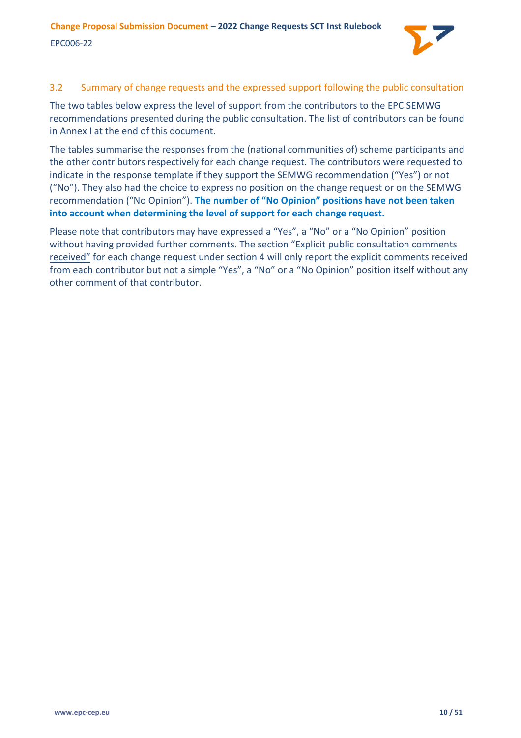

# <span id="page-9-0"></span>3.2 Summary of change requests and the expressed support following the public consultation

The two tables below express the level of support from the contributors to the EPC SEMWG recommendations presented during the public consultation. The list of contributors can be found in [Annex I](#page-50-0) at the end of this document.

The tables summarise the responses from the (national communities of) scheme participants and the other contributors respectively for each change request. The contributors were requested to indicate in the response template if they support the SEMWG recommendation ("Yes") or not ("No"). They also had the choice to express no position on the change request or on the SEMWG recommendation ("No Opinion"). **The number of "No Opinion" positions have not been taken into account when determining the level of support for each change request.**

Please note that contributors may have expressed a "Yes", a "No" or a "No Opinion" position without having provided further comments. The section "Explicit public consultation comments received" for each change request under section [4](#page-12-0) will only report the explicit comments received from each contributor but not a simple "Yes", a "No" or a "No Opinion" position itself without any other comment of that contributor.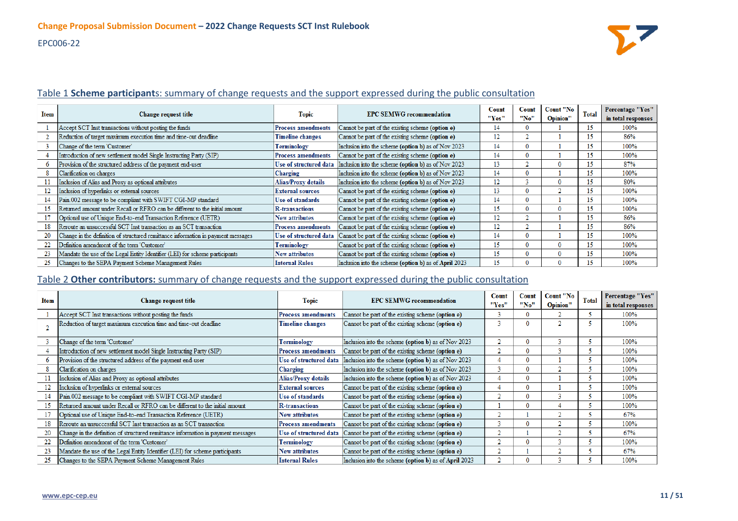# EPC006-22



#### Table 1 **Scheme participant**s: summary of change requests and the support expressed during the public consultation

| Item | Change request title                                                              | <b>Topic</b>              | <b>EPC SEMWG recommendation</b>                       | Count<br>"Yes" | Count<br>"No" | Count "No<br>Opinion" | <b>Total</b> | Percentage "Yes"<br>in total responses |
|------|-----------------------------------------------------------------------------------|---------------------------|-------------------------------------------------------|----------------|---------------|-----------------------|--------------|----------------------------------------|
|      | Accept SCT Inst transactions without posting the funds                            | <b>Process amendments</b> | Cannot be part of the existing scheme (option e)      | 14             |               |                       | 15           | 100%                                   |
|      | Reduction of target maximum execution time and time-out deadline                  | Timeline changes          | Cannot be part of the existing scheme (option e)      | 12             |               |                       | 15           | 86%                                    |
|      | Change of the term 'Customer'                                                     | Terminology               | Inclusion into the scheme (option b) as of Nov 2023   | 14             |               |                       | 15           | 100%                                   |
|      | Introduction of new settlement model Single Instructing Party (SIP)               | <b>Process amendments</b> | Cannot be part of the existing scheme (option e)      | 14             |               |                       | 15           | 100%                                   |
|      | Provision of the structured address of the payment end-user                       | Use of structured data    | Inclusion into the scheme (option b) as of Nov 2023   | 13             |               |                       | 15           | 87%                                    |
| 8    | Clarification on charges                                                          | Charging                  | Inclusion into the scheme (option b) as of Nov 2023   | 14             |               |                       | 15           | 100%                                   |
|      | Inclusion of Alias and Proxy as optional attributes                               | Alias/Proxy details       | Inclusion into the scheme (option b) as of Nov 2023   | 12             |               | 0                     | 15           | 80%                                    |
| 12   | Inclusion of hyperlinks or external sources                                       | <b>External sources</b>   | Cannot be part of the existing scheme (option e)      | 13             | 0.            |                       | 15           | 100%                                   |
| 14   | Pain.002 message to be compliant with SWIFT CGI-MP standard                       | <b>Use of standards</b>   | Cannot be part of the existing scheme (option e)      | 14             | 0.            |                       | 15           | 100%                                   |
| 15   | Returned amount under Recall or RFRO can be different to the initial amount       | <b>R-transactions</b>     | Cannot be part of the existing scheme (option e)      | 15             | O.            | 0                     | 15           | 100%                                   |
|      | Optional use of Unique End-to-end Transaction Reference (UETR)                    | <b>New attributes</b>     | Cannot be part of the existing scheme (option e)      | 12             |               |                       | 15           | 86%                                    |
| 18   | Reroute an unsuccessful SCT Inst transaction as an SCT transaction                | <b>Process amendments</b> | Cannot be part of the existing scheme (option e)      | 12             |               |                       | 15           | 86%                                    |
| 20   | Change in the definition of structured remittance information in payment messages | Use of structured data    | Cannot be part of the existing scheme (option e)      | 14             |               |                       | 15           | 100%                                   |
| 22   | Definition amendment of the term 'Customer'                                       | Terminology               | Cannot be part of the existing scheme (option e)      | 15             |               |                       | 15           | 100%                                   |
| 23   | Mandate the use of the Legal Entity Identifier (LEI) for scheme participants      | <b>New attributes</b>     | Cannot be part of the existing scheme (option e)      | 15             |               |                       | 15           | 100%                                   |
| 25   | Changes to the SEPA Payment Scheme Management Rules                               | <b>Internal Rules</b>     | Inclusion into the scheme (option b) as of April 2023 | 15             |               |                       | 15           | 100%                                   |

# Table 2 **Other contributors:** summary of change requests and the support expressed during the public consultation

| Item |                                                                                   |                            | <b>EPC SEMWG recommendation</b>                       | Count | Count | Count "No | <b>Total</b> | Percentage "Yes"   |
|------|-----------------------------------------------------------------------------------|----------------------------|-------------------------------------------------------|-------|-------|-----------|--------------|--------------------|
|      | <b>Change request title</b>                                                       |                            | <b>Topic</b>                                          | "Yes" | "No"  | Opinion"  |              | in total responses |
|      | Accept SCT Inst transactions without posting the funds                            | <b>Process amendments</b>  | Cannot be part of the existing scheme (option e)      |       |       |           |              | 100%               |
|      | Reduction of target maximum execution time and time-out deadline                  | <b>Timeline changes</b>    | Cannot be part of the existing scheme (option e)      |       |       |           |              | 100%               |
|      |                                                                                   |                            |                                                       |       |       |           |              |                    |
|      | Change of the term 'Customer'                                                     | Terminology                | Inclusion into the scheme (option b) as of Nov 2023   |       |       |           |              | 100%               |
|      | Introduction of new settlement model Single Instructing Party (SIP)               | <b>Process amendments</b>  | Cannot be part of the existing scheme (option e)      | o     |       |           |              | 100%               |
| 6    | Provision of the structured address of the payment end-user                       | Use of structured data     | Inclusion into the scheme (option b) as of Nov 2023   |       |       |           |              | 100%               |
|      | Clarification on charges                                                          | Charging                   | Inclusion into the scheme (option b) as of Nov 2023   |       |       |           |              | 100%               |
| 11   | Inclusion of Alias and Proxy as optional attributes                               | <b>Alias/Proxy details</b> | Inclusion into the scheme (option b) as of Nov 2023   |       |       |           |              | 100%               |
| 12   | Inclusion of hyperlinks or external sources                                       | <b>External sources</b>    | Cannot be part of the existing scheme (option e)      |       |       |           |              | 100%               |
| 14   | Pain.002 message to be compliant with SWIFT CGI-MP standard                       | Use of standards           | Cannot be part of the existing scheme (option e)      |       |       |           |              | 100%               |
| 15   | Returned amount under Recall or RFRO can be different to the initial amount       | <b>R-transactions</b>      | Cannot be part of the existing scheme (option e)      |       |       |           |              | 100%               |
| 17   | Optional use of Unique End-to-end Transaction Reference (UETR)                    | <b>New attributes</b>      | Cannot be part of the existing scheme (option e)      |       |       |           |              | 67%                |
| 18   | Reroute an unsuccessful SCT Inst transaction as an SCT transaction                | <b>Process amendments</b>  | Cannot be part of the existing scheme (option e)      |       |       |           |              | 100%               |
| 20   | Change in the definition of structured remittance information in payment messages | Use of structured data     | Cannot be part of the existing scheme (option e)      |       |       |           |              | 67%                |
| 22   | Definition amendment of the term 'Customer'                                       | Terminology                | Cannot be part of the existing scheme (option e)      |       |       |           |              | 100%               |
| 23   | Mandate the use of the Legal Entity Identifier (LEI) for scheme participants      | <b>New attributes</b>      | Cannot be part of the existing scheme (option e)      |       |       |           |              | 67%                |
| 25   | Changes to the SEPA Payment Scheme Management Rules                               | <b>Internal Rules</b>      | Inclusion into the scheme (option b) as of April 2023 |       |       |           |              | 100%               |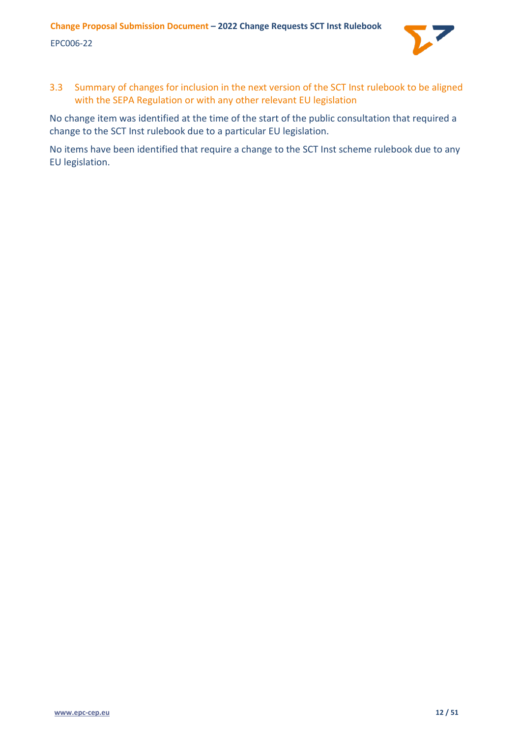

<span id="page-11-0"></span>3.3 Summary of changes for inclusion in the next version of the SCT Inst rulebook to be aligned with the SEPA Regulation or with any other relevant EU legislation

No change item was identified at the time of the start of the public consultation that required a change to the SCT Inst rulebook due to a particular EU legislation.

No items have been identified that require a change to the SCT Inst scheme rulebook due to any EU legislation.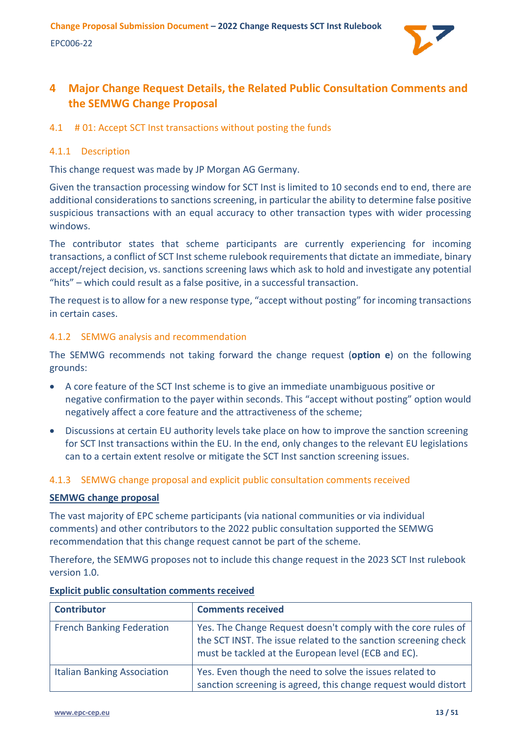

# <span id="page-12-0"></span>**4 Major Change Request Details, the Related Public Consultation Comments and the SEMWG Change Proposal**

# <span id="page-12-1"></span>4.1 # 01: Accept SCT Inst transactions without posting the funds

# <span id="page-12-2"></span>4.1.1 Description

This change request was made by JP Morgan AG Germany.

Given the transaction processing window for SCT Inst is limited to 10 seconds end to end, there are additional considerations to sanctions screening, in particular the ability to determine false positive suspicious transactions with an equal accuracy to other transaction types with wider processing windows.

The contributor states that scheme participants are currently experiencing for incoming transactions, a conflict of SCT Inst scheme rulebook requirements that dictate an immediate, binary accept/reject decision, vs. sanctions screening laws which ask to hold and investigate any potential "hits" – which could result as a false positive, in a successful transaction.

The request is to allow for a new response type, "accept without posting" for incoming transactions in certain cases.

#### <span id="page-12-3"></span>4.1.2 SEMWG analysis and recommendation

The SEMWG recommends not taking forward the change request (**option e**) on the following grounds:

- A core feature of the SCT Inst scheme is to give an immediate unambiguous positive or negative confirmation to the payer within seconds. This "accept without posting" option would negatively affect a core feature and the attractiveness of the scheme;
- Discussions at certain EU authority levels take place on how to improve the sanction screening for SCT Inst transactions within the EU. In the end, only changes to the relevant EU legislations can to a certain extent resolve or mitigate the SCT Inst sanction screening issues.

# <span id="page-12-4"></span>4.1.3 SEMWG change proposal and explicit public consultation comments received

#### **SEMWG change proposal**

The vast majority of EPC scheme participants (via national communities or via individual comments) and other contributors to the 2022 public consultation supported the SEMWG recommendation that this change request cannot be part of the scheme.

Therefore, the SEMWG proposes not to include this change request in the 2023 SCT Inst rulebook version 1.0.

| <b>Contributor</b>                 | <b>Comments received</b>                                                                                                                                                                |
|------------------------------------|-----------------------------------------------------------------------------------------------------------------------------------------------------------------------------------------|
| <b>French Banking Federation</b>   | Yes. The Change Request doesn't comply with the core rules of<br>the SCT INST. The issue related to the sanction screening check<br>must be tackled at the European level (ECB and EC). |
| <b>Italian Banking Association</b> | Yes. Even though the need to solve the issues related to<br>sanction screening is agreed, this change request would distort                                                             |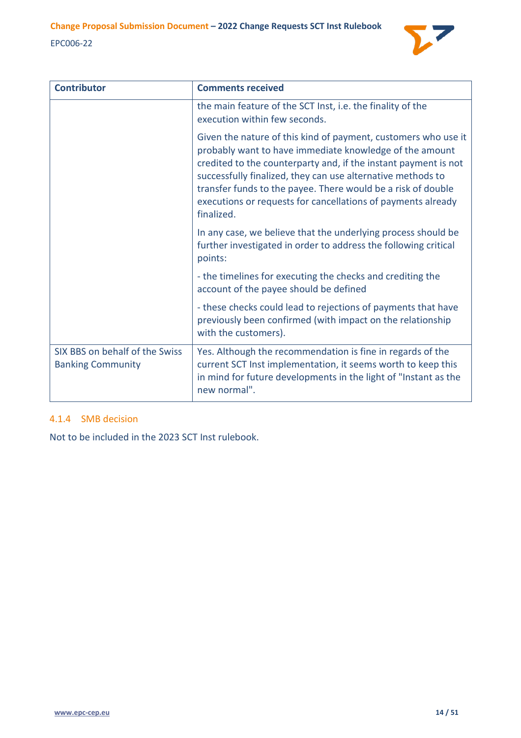

| <b>Contributor</b>                                         | <b>Comments received</b>                                                                                                                                                                                                                                                                                                                                                                                  |
|------------------------------------------------------------|-----------------------------------------------------------------------------------------------------------------------------------------------------------------------------------------------------------------------------------------------------------------------------------------------------------------------------------------------------------------------------------------------------------|
|                                                            | the main feature of the SCT Inst, i.e. the finality of the<br>execution within few seconds.                                                                                                                                                                                                                                                                                                               |
|                                                            | Given the nature of this kind of payment, customers who use it<br>probably want to have immediate knowledge of the amount<br>credited to the counterparty and, if the instant payment is not<br>successfully finalized, they can use alternative methods to<br>transfer funds to the payee. There would be a risk of double<br>executions or requests for cancellations of payments already<br>finalized. |
|                                                            | In any case, we believe that the underlying process should be<br>further investigated in order to address the following critical<br>points:                                                                                                                                                                                                                                                               |
|                                                            | - the timelines for executing the checks and crediting the<br>account of the payee should be defined                                                                                                                                                                                                                                                                                                      |
|                                                            | - these checks could lead to rejections of payments that have<br>previously been confirmed (with impact on the relationship<br>with the customers).                                                                                                                                                                                                                                                       |
| SIX BBS on behalf of the Swiss<br><b>Banking Community</b> | Yes. Although the recommendation is fine in regards of the<br>current SCT Inst implementation, it seems worth to keep this<br>in mind for future developments in the light of "Instant as the<br>new normal".                                                                                                                                                                                             |

# <span id="page-13-0"></span>4.1.4 SMB decision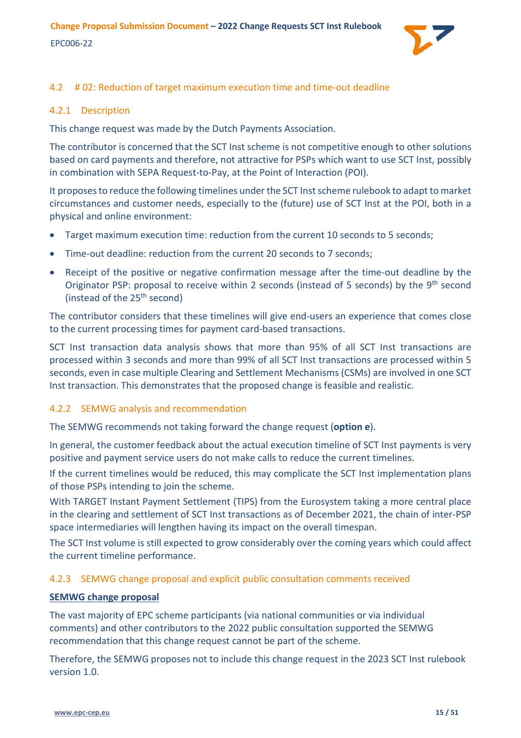

# <span id="page-14-0"></span>4.2 # 02: Reduction of target maximum execution time and time-out deadline

# <span id="page-14-1"></span>4.2.1 Description

This change request was made by the Dutch Payments Association.

The contributor is concerned that the SCT Inst scheme is not competitive enough to other solutions based on card payments and therefore, not attractive for PSPs which want to use SCT Inst, possibly in combination with SEPA Request-to-Pay, at the Point of Interaction (POI).

It proposes to reduce the following timelines under the SCT Inst scheme rulebook to adapt to market circumstances and customer needs, especially to the (future) use of SCT Inst at the POI, both in a physical and online environment:

- Target maximum execution time: reduction from the current 10 seconds to 5 seconds;
- Time-out deadline: reduction from the current 20 seconds to 7 seconds:
- Receipt of the positive or negative confirmation message after the time-out deadline by the Originator PSP: proposal to receive within 2 seconds (instead of 5 seconds) by the  $9<sup>th</sup>$  second (instead of the 25<sup>th</sup> second)

The contributor considers that these timelines will give end-users an experience that comes close to the current processing times for payment card-based transactions.

SCT Inst transaction data analysis shows that more than 95% of all SCT Inst transactions are processed within 3 seconds and more than 99% of all SCT Inst transactions are processed within 5 seconds, even in case multiple Clearing and Settlement Mechanisms (CSMs) are involved in one SCT Inst transaction. This demonstrates that the proposed change is feasible and realistic.

# <span id="page-14-2"></span>4.2.2 SEMWG analysis and recommendation

The SEMWG recommends not taking forward the change request (**option e**).

In general, the customer feedback about the actual execution timeline of SCT Inst payments is very positive and payment service users do not make calls to reduce the current timelines.

If the current timelines would be reduced, this may complicate the SCT Inst implementation plans of those PSPs intending to join the scheme.

With TARGET Instant Payment Settlement (TIPS) from the Eurosystem taking a more central place in the clearing and settlement of SCT Inst transactions as of December 2021, the chain of inter-PSP space intermediaries will lengthen having its impact on the overall timespan.

The SCT Inst volume is still expected to grow considerably over the coming years which could affect the current timeline performance.

# <span id="page-14-3"></span>4.2.3 SEMWG change proposal and explicit public consultation comments received

# **SEMWG change proposal**

The vast majority of EPC scheme participants (via national communities or via individual comments) and other contributors to the 2022 public consultation supported the SEMWG recommendation that this change request cannot be part of the scheme.

Therefore, the SEMWG proposes not to include this change request in the 2023 SCT Inst rulebook version 1.0.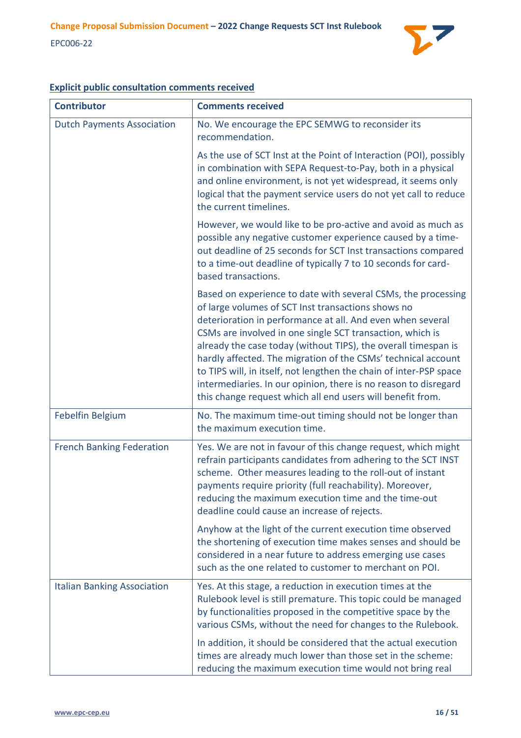

| <b>Contributor</b>                 | <b>Comments received</b>                                                                                                                                                                                                                                                                                                                                                                                                                                                                                                                                                                 |
|------------------------------------|------------------------------------------------------------------------------------------------------------------------------------------------------------------------------------------------------------------------------------------------------------------------------------------------------------------------------------------------------------------------------------------------------------------------------------------------------------------------------------------------------------------------------------------------------------------------------------------|
| <b>Dutch Payments Association</b>  | No. We encourage the EPC SEMWG to reconsider its<br>recommendation.                                                                                                                                                                                                                                                                                                                                                                                                                                                                                                                      |
|                                    | As the use of SCT Inst at the Point of Interaction (POI), possibly<br>in combination with SEPA Request-to-Pay, both in a physical<br>and online environment, is not yet widespread, it seems only<br>logical that the payment service users do not yet call to reduce<br>the current timelines.                                                                                                                                                                                                                                                                                          |
|                                    | However, we would like to be pro-active and avoid as much as<br>possible any negative customer experience caused by a time-<br>out deadline of 25 seconds for SCT Inst transactions compared<br>to a time-out deadline of typically 7 to 10 seconds for card-<br>based transactions.                                                                                                                                                                                                                                                                                                     |
|                                    | Based on experience to date with several CSMs, the processing<br>of large volumes of SCT Inst transactions shows no<br>deterioration in performance at all. And even when several<br>CSMs are involved in one single SCT transaction, which is<br>already the case today (without TIPS), the overall timespan is<br>hardly affected. The migration of the CSMs' technical account<br>to TIPS will, in itself, not lengthen the chain of inter-PSP space<br>intermediaries. In our opinion, there is no reason to disregard<br>this change request which all end users will benefit from. |
| Febelfin Belgium                   | No. The maximum time-out timing should not be longer than<br>the maximum execution time.                                                                                                                                                                                                                                                                                                                                                                                                                                                                                                 |
| <b>French Banking Federation</b>   | Yes. We are not in favour of this change request, which might<br>refrain participants candidates from adhering to the SCT INST<br>scheme. Other measures leading to the roll-out of instant<br>payments require priority (full reachability). Moreover,<br>reducing the maximum execution time and the time-out<br>deadline could cause an increase of rejects.                                                                                                                                                                                                                          |
|                                    | Anyhow at the light of the current execution time observed<br>the shortening of execution time makes senses and should be<br>considered in a near future to address emerging use cases<br>such as the one related to customer to merchant on POI.                                                                                                                                                                                                                                                                                                                                        |
| <b>Italian Banking Association</b> | Yes. At this stage, a reduction in execution times at the<br>Rulebook level is still premature. This topic could be managed<br>by functionalities proposed in the competitive space by the<br>various CSMs, without the need for changes to the Rulebook.                                                                                                                                                                                                                                                                                                                                |
|                                    | In addition, it should be considered that the actual execution<br>times are already much lower than those set in the scheme:<br>reducing the maximum execution time would not bring real                                                                                                                                                                                                                                                                                                                                                                                                 |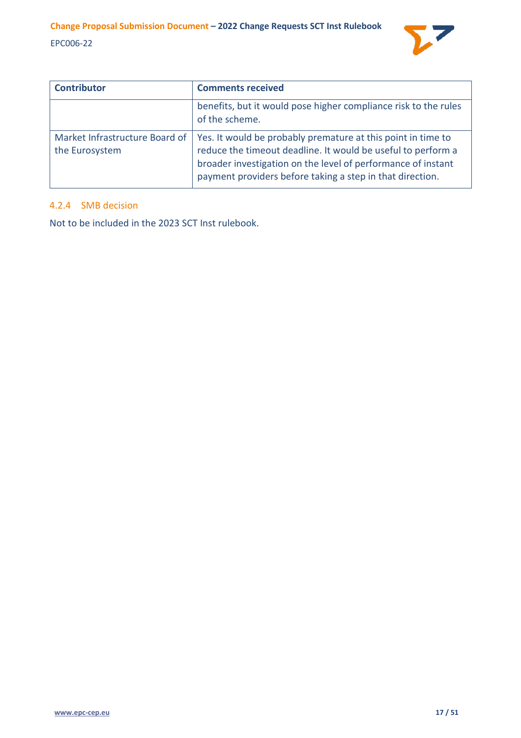

| <b>Contributor</b>                               | <b>Comments received</b>                                                                                                                                                                                                                                  |
|--------------------------------------------------|-----------------------------------------------------------------------------------------------------------------------------------------------------------------------------------------------------------------------------------------------------------|
|                                                  | benefits, but it would pose higher compliance risk to the rules<br>of the scheme.                                                                                                                                                                         |
| Market Infrastructure Board of<br>the Eurosystem | Yes. It would be probably premature at this point in time to<br>reduce the timeout deadline. It would be useful to perform a<br>broader investigation on the level of performance of instant<br>payment providers before taking a step in that direction. |

# <span id="page-16-0"></span>4.2.4 SMB decision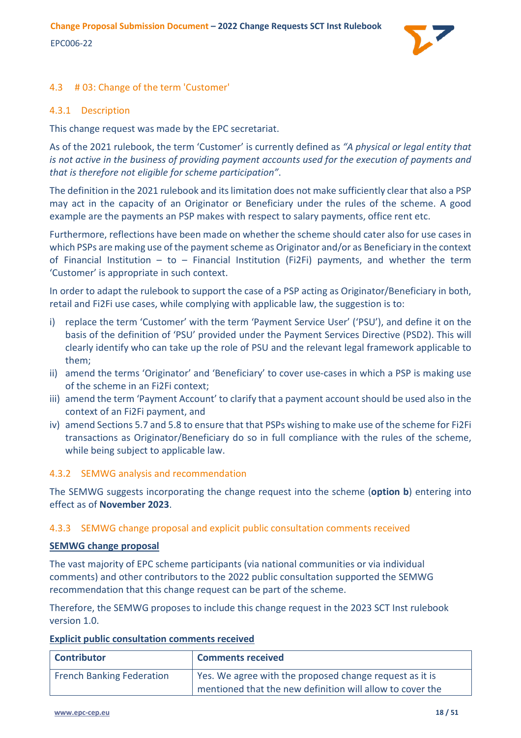

# <span id="page-17-0"></span>4.3 # 03: Change of the term 'Customer'

# <span id="page-17-1"></span>4.3.1 Description

This change request was made by the EPC secretariat.

As of the 2021 rulebook, the term 'Customer' is currently defined as *"A physical or legal entity that is not active in the business of providing payment accounts used for the execution of payments and that is therefore not eligible for scheme participation"*.

The definition in the 2021 rulebook and its limitation does not make sufficiently clear that also a PSP may act in the capacity of an Originator or Beneficiary under the rules of the scheme. A good example are the payments an PSP makes with respect to salary payments, office rent etc.

Furthermore, reflections have been made on whether the scheme should cater also for use cases in which PSPs are making use of the payment scheme as Originator and/or as Beneficiary in the context of Financial Institution – to – Financial Institution (Fi2Fi) payments, and whether the term 'Customer' is appropriate in such context.

In order to adapt the rulebook to support the case of a PSP acting as Originator/Beneficiary in both, retail and Fi2Fi use cases, while complying with applicable law, the suggestion is to:

- i) replace the term 'Customer' with the term 'Payment Service User' ('PSU'), and define it on the basis of the definition of 'PSU' provided under the Payment Services Directive (PSD2). This will clearly identify who can take up the role of PSU and the relevant legal framework applicable to them;
- ii) amend the terms 'Originator' and 'Beneficiary' to cover use-cases in which a PSP is making use of the scheme in an Fi2Fi context;
- iii) amend the term 'Payment Account' to clarify that a payment account should be used also in the context of an Fi2Fi payment, and
- iv) amend Sections 5.7 and 5.8 to ensure that that PSPs wishing to make use of the scheme for Fi2Fi transactions as Originator/Beneficiary do so in full compliance with the rules of the scheme, while being subject to applicable law.

# <span id="page-17-2"></span>4.3.2 SEMWG analysis and recommendation

The SEMWG suggests incorporating the change request into the scheme (**option b**) entering into effect as of **November 2023**.

# <span id="page-17-3"></span>4.3.3 SEMWG change proposal and explicit public consultation comments received

#### **SEMWG change proposal**

The vast majority of EPC scheme participants (via national communities or via individual comments) and other contributors to the 2022 public consultation supported the SEMWG recommendation that this change request can be part of the scheme.

Therefore, the SEMWG proposes to include this change request in the 2023 SCT Inst rulebook version 1.0.

| <b>Contributor</b>               | <b>Comments received</b>                                  |
|----------------------------------|-----------------------------------------------------------|
| <b>French Banking Federation</b> | Yes. We agree with the proposed change request as it is   |
|                                  | mentioned that the new definition will allow to cover the |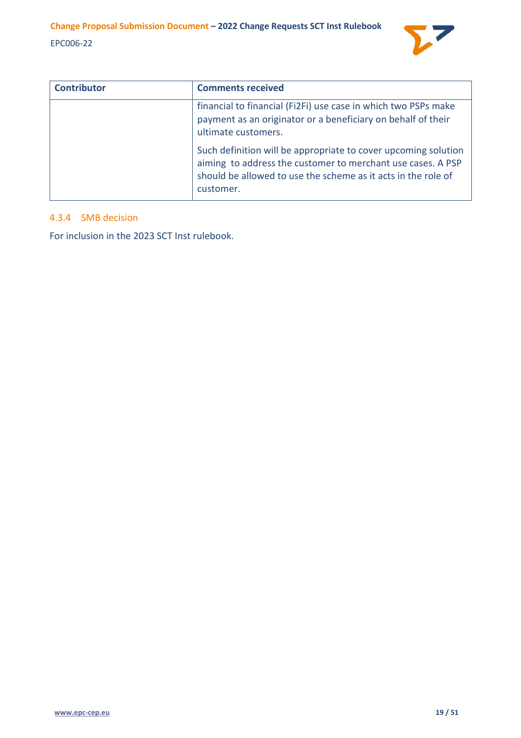

| <b>Contributor</b> | <b>Comments received</b>                                                                                                                                                                                    |
|--------------------|-------------------------------------------------------------------------------------------------------------------------------------------------------------------------------------------------------------|
|                    | financial to financial (Fi2Fi) use case in which two PSPs make<br>payment as an originator or a beneficiary on behalf of their<br>ultimate customers.                                                       |
|                    | Such definition will be appropriate to cover upcoming solution<br>aiming to address the customer to merchant use cases. A PSP<br>should be allowed to use the scheme as it acts in the role of<br>customer. |

# <span id="page-18-0"></span>4.3.4 SMB decision

For inclusion in the 2023 SCT Inst rulebook.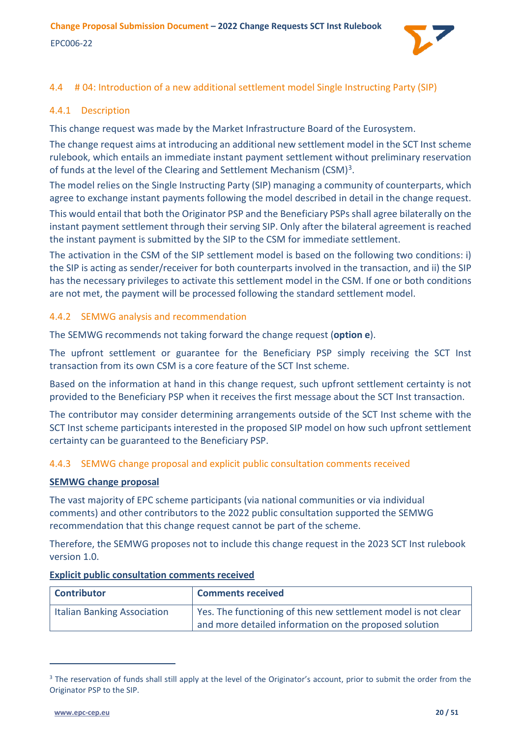<span id="page-19-0"></span>

# <span id="page-19-1"></span>4.4.1 Description

This change request was made by the Market Infrastructure Board of the Eurosystem.

The change request aims at introducing an additional new settlement model in the SCT Inst scheme rulebook, which entails an immediate instant payment settlement without preliminary reservation of funds at the level of the Clearing and Settlement Mechanism (CSM)<sup>[3](#page-19-4)</sup>.

The model relies on the Single Instructing Party (SIP) managing a community of counterparts, which agree to exchange instant payments following the model described in detail in the change request. This would entail that both the Originator PSP and the Beneficiary PSPs shall agree bilaterally on the instant payment settlement through their serving SIP. Only after the bilateral agreement is reached the instant payment is submitted by the SIP to the CSM for immediate settlement.

The activation in the CSM of the SIP settlement model is based on the following two conditions: i) the SIP is acting as sender/receiver for both counterparts involved in the transaction, and ii) the SIP has the necessary privileges to activate this settlement model in the CSM. If one or both conditions are not met, the payment will be processed following the standard settlement model.

# <span id="page-19-2"></span>4.4.2 SEMWG analysis and recommendation

The SEMWG recommends not taking forward the change request (**option e**).

The upfront settlement or guarantee for the Beneficiary PSP simply receiving the SCT Inst transaction from its own CSM is a core feature of the SCT Inst scheme.

Based on the information at hand in this change request, such upfront settlement certainty is not provided to the Beneficiary PSP when it receives the first message about the SCT Inst transaction.

The contributor may consider determining arrangements outside of the SCT Inst scheme with the SCT Inst scheme participants interested in the proposed SIP model on how such upfront settlement certainty can be guaranteed to the Beneficiary PSP.

# <span id="page-19-3"></span>4.4.3 SEMWG change proposal and explicit public consultation comments received

# **SEMWG change proposal**

The vast majority of EPC scheme participants (via national communities or via individual comments) and other contributors to the 2022 public consultation supported the SEMWG recommendation that this change request cannot be part of the scheme.

Therefore, the SEMWG proposes not to include this change request in the 2023 SCT Inst rulebook version 1.0.

| <b>Contributor</b>          | <b>Comments received</b>                                       |
|-----------------------------|----------------------------------------------------------------|
| Italian Banking Association | Yes. The functioning of this new settlement model is not clear |
|                             | and more detailed information on the proposed solution         |

<span id="page-19-4"></span><sup>&</sup>lt;sup>3</sup> The reservation of funds shall still apply at the level of the Originator's account, prior to submit the order from the Originator PSP to the SIP.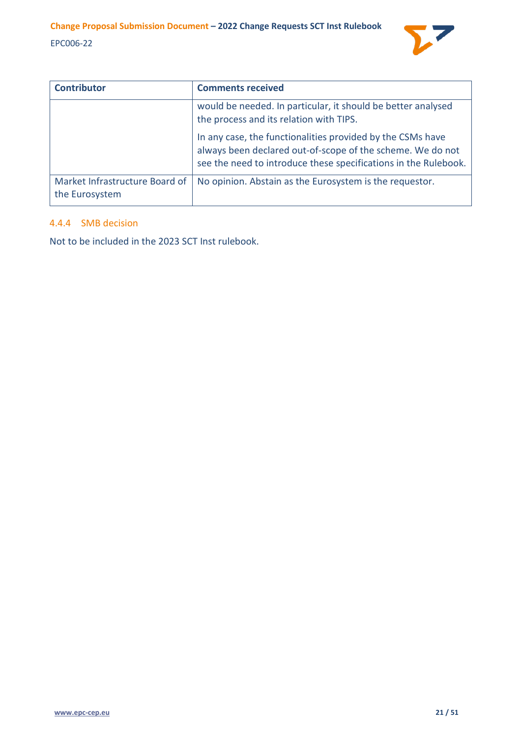

| <b>Contributor</b>                               | <b>Comments received</b>                                                                                                                                                                    |
|--------------------------------------------------|---------------------------------------------------------------------------------------------------------------------------------------------------------------------------------------------|
|                                                  | would be needed. In particular, it should be better analysed<br>the process and its relation with TIPS.                                                                                     |
|                                                  | In any case, the functionalities provided by the CSMs have<br>always been declared out-of-scope of the scheme. We do not<br>see the need to introduce these specifications in the Rulebook. |
| Market Infrastructure Board of<br>the Eurosystem | No opinion. Abstain as the Eurosystem is the requestor.                                                                                                                                     |

#### <span id="page-20-0"></span>4.4.4 SMB decision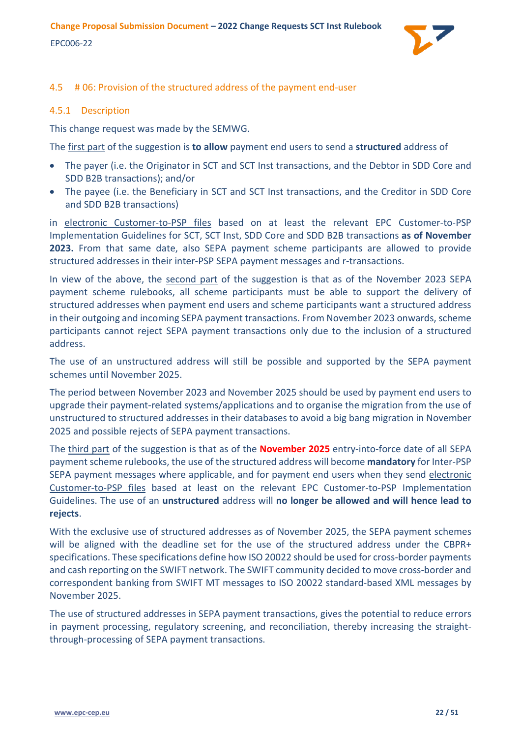

# <span id="page-21-0"></span>4.5 # 06: Provision of the structured address of the payment end-user

### <span id="page-21-1"></span>4.5.1 Description

This change request was made by the SEMWG.

The first part of the suggestion is **to allow** payment end users to send a **structured** address of

- The payer (i.e. the Originator in SCT and SCT Inst transactions, and the Debtor in SDD Core and SDD B2B transactions); and/or
- The payee (i.e. the Beneficiary in SCT and SCT Inst transactions, and the Creditor in SDD Core and SDD B2B transactions)

in electronic Customer-to-PSP files based on at least the relevant EPC Customer-to-PSP Implementation Guidelines for SCT, SCT Inst, SDD Core and SDD B2B transactions **as of November 2023.** From that same date, also SEPA payment scheme participants are allowed to provide structured addresses in their inter-PSP SEPA payment messages and r-transactions.

In view of the above, the second part of the suggestion is that as of the November 2023 SEPA payment scheme rulebooks, all scheme participants must be able to support the delivery of structured addresses when payment end users and scheme participants want a structured address in their outgoing and incoming SEPA payment transactions. From November 2023 onwards, scheme participants cannot reject SEPA payment transactions only due to the inclusion of a structured address.

The use of an unstructured address will still be possible and supported by the SEPA payment schemes until November 2025.

The period between November 2023 and November 2025 should be used by payment end users to upgrade their payment-related systems/applications and to organise the migration from the use of unstructured to structured addresses in their databases to avoid a big bang migration in November 2025 and possible rejects of SEPA payment transactions.

The third part of the suggestion is that as of the **November 2025** entry-into-force date of all SEPA payment scheme rulebooks, the use of the structured address will become **mandatory** for Inter-PSP SEPA payment messages where applicable, and for payment end users when they send electronic Customer-to-PSP files based at least on the relevant EPC Customer-to-PSP Implementation Guidelines. The use of an **unstructured** address will **no longer be allowed and will hence lead to rejects**.

With the exclusive use of structured addresses as of November 2025, the SEPA payment schemes will be aligned with the deadline set for the use of the structured address under the CBPR+ specifications. These specifications define how ISO 20022 should be used for cross-border payments and cash reporting on the SWIFT network. The SWIFT community decided to move cross-border and correspondent banking from SWIFT MT messages to ISO 20022 standard-based XML messages by November 2025.

The use of structured addresses in SEPA payment transactions, gives the potential to reduce errors in payment processing, regulatory screening, and reconciliation, thereby increasing the straightthrough-processing of SEPA payment transactions.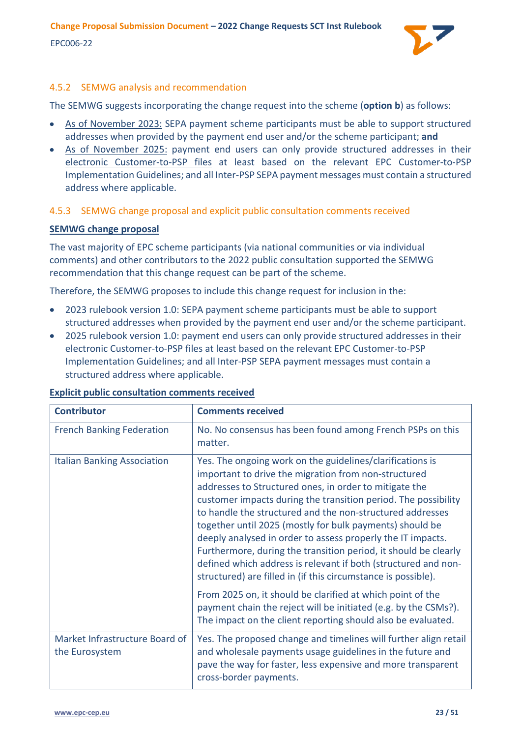

# <span id="page-22-0"></span>4.5.2 SEMWG analysis and recommendation

The SEMWG suggests incorporating the change request into the scheme (**option b**) as follows:

- As of November 2023: SEPA payment scheme participants must be able to support structured addresses when provided by the payment end user and/or the scheme participant; **and**
- As of November 2025: payment end users can only provide structured addresses in their electronic Customer-to-PSP files at least based on the relevant EPC Customer-to-PSP Implementation Guidelines; and all Inter-PSP SEPA payment messages must contain a structured address where applicable.

# <span id="page-22-1"></span>4.5.3 SEMWG change proposal and explicit public consultation comments received

# **SEMWG change proposal**

The vast majority of EPC scheme participants (via national communities or via individual comments) and other contributors to the 2022 public consultation supported the SEMWG recommendation that this change request can be part of the scheme.

Therefore, the SEMWG proposes to include this change request for inclusion in the:

- 2023 rulebook version 1.0: SEPA payment scheme participants must be able to support structured addresses when provided by the payment end user and/or the scheme participant.
- 2025 rulebook version 1.0: payment end users can only provide structured addresses in their electronic Customer-to-PSP files at least based on the relevant EPC Customer-to-PSP Implementation Guidelines; and all Inter-PSP SEPA payment messages must contain a structured address where applicable.

| <b>Contributor</b>                               | <b>Comments received</b>                                                                                                                                                                                                                                                                                                                                                                                                                                                                                                                                                                                                                    |
|--------------------------------------------------|---------------------------------------------------------------------------------------------------------------------------------------------------------------------------------------------------------------------------------------------------------------------------------------------------------------------------------------------------------------------------------------------------------------------------------------------------------------------------------------------------------------------------------------------------------------------------------------------------------------------------------------------|
| <b>French Banking Federation</b>                 | No. No consensus has been found among French PSPs on this<br>matter.                                                                                                                                                                                                                                                                                                                                                                                                                                                                                                                                                                        |
| <b>Italian Banking Association</b>               | Yes. The ongoing work on the guidelines/clarifications is<br>important to drive the migration from non-structured<br>addresses to Structured ones, in order to mitigate the<br>customer impacts during the transition period. The possibility<br>to handle the structured and the non-structured addresses<br>together until 2025 (mostly for bulk payments) should be<br>deeply analysed in order to assess properly the IT impacts.<br>Furthermore, during the transition period, it should be clearly<br>defined which address is relevant if both (structured and non-<br>structured) are filled in (if this circumstance is possible). |
|                                                  | From 2025 on, it should be clarified at which point of the<br>payment chain the reject will be initiated (e.g. by the CSMs?).<br>The impact on the client reporting should also be evaluated.                                                                                                                                                                                                                                                                                                                                                                                                                                               |
| Market Infrastructure Board of<br>the Eurosystem | Yes. The proposed change and timelines will further align retail<br>and wholesale payments usage guidelines in the future and<br>pave the way for faster, less expensive and more transparent<br>cross-border payments.                                                                                                                                                                                                                                                                                                                                                                                                                     |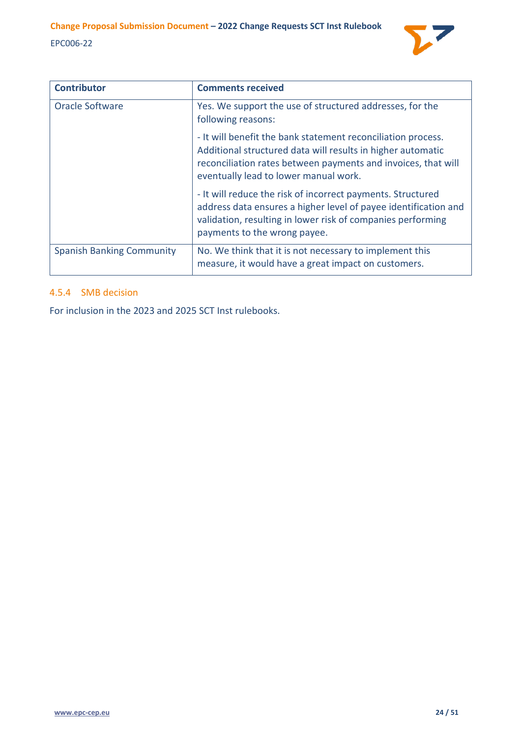

| <b>Contributor</b>               | <b>Comments received</b>                                                                                                                                                                                                              |
|----------------------------------|---------------------------------------------------------------------------------------------------------------------------------------------------------------------------------------------------------------------------------------|
| <b>Oracle Software</b>           | Yes. We support the use of structured addresses, for the<br>following reasons:                                                                                                                                                        |
|                                  | - It will benefit the bank statement reconciliation process.<br>Additional structured data will results in higher automatic<br>reconciliation rates between payments and invoices, that will<br>eventually lead to lower manual work. |
|                                  | - It will reduce the risk of incorrect payments. Structured<br>address data ensures a higher level of payee identification and<br>validation, resulting in lower risk of companies performing<br>payments to the wrong payee.         |
| <b>Spanish Banking Community</b> | No. We think that it is not necessary to implement this<br>measure, it would have a great impact on customers.                                                                                                                        |

# <span id="page-23-0"></span>4.5.4 SMB decision

For inclusion in the 2023 and 2025 SCT Inst rulebooks.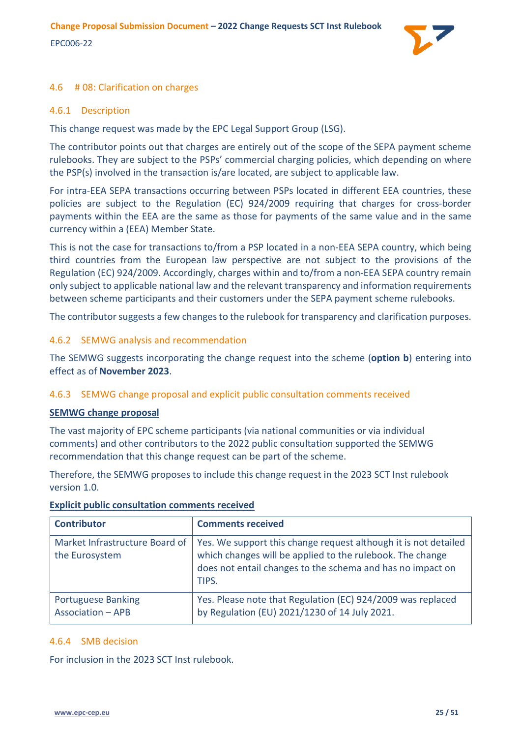

# <span id="page-24-0"></span>4.6 # 08: Clarification on charges

# <span id="page-24-1"></span>4.6.1 Description

This change request was made by the EPC Legal Support Group (LSG).

The contributor points out that charges are entirely out of the scope of the SEPA payment scheme rulebooks. They are subject to the PSPs' commercial charging policies, which depending on where the PSP(s) involved in the transaction is/are located, are subject to applicable law.

For intra-EEA SEPA transactions occurring between PSPs located in different EEA countries, these policies are subject to the Regulation (EC) 924/2009 requiring that charges for cross-border payments within the EEA are the same as those for payments of the same value and in the same currency within a (EEA) Member State.

This is not the case for transactions to/from a PSP located in a non-EEA SEPA country, which being third countries from the European law perspective are not subject to the provisions of the Regulation (EC) 924/2009. Accordingly, charges within and to/from a non-EEA SEPA country remain only subject to applicable national law and the relevant transparency and information requirements between scheme participants and their customers under the SEPA payment scheme rulebooks.

The contributor suggests a few changes to the rulebook for transparency and clarification purposes.

# <span id="page-24-2"></span>4.6.2 SEMWG analysis and recommendation

The SEMWG suggests incorporating the change request into the scheme (**option b**) entering into effect as of **November 2023**.

# <span id="page-24-3"></span>4.6.3 SEMWG change proposal and explicit public consultation comments received

#### **SEMWG change proposal**

The vast majority of EPC scheme participants (via national communities or via individual comments) and other contributors to the 2022 public consultation supported the SEMWG recommendation that this change request can be part of the scheme.

Therefore, the SEMWG proposes to include this change request in the 2023 SCT Inst rulebook version 1.0.

| <b>Contributor</b>                                    | <b>Comments received</b>                                                                                                                                                                            |
|-------------------------------------------------------|-----------------------------------------------------------------------------------------------------------------------------------------------------------------------------------------------------|
| Market Infrastructure Board of<br>the Eurosystem      | Yes. We support this change request although it is not detailed<br>which changes will be applied to the rulebook. The change<br>does not entail changes to the schema and has no impact on<br>TIPS. |
| <b>Portuguese Banking</b><br><b>Association - APB</b> | Yes. Please note that Regulation (EC) 924/2009 was replaced<br>by Regulation (EU) 2021/1230 of 14 July 2021.                                                                                        |

# **Explicit public consultation comments received**

# <span id="page-24-4"></span>4.6.4 SMB decision

For inclusion in the 2023 SCT Inst rulebook.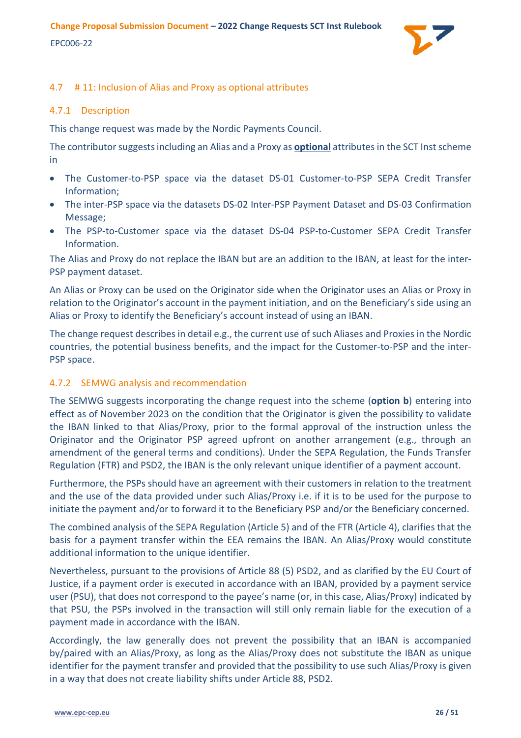# <span id="page-25-0"></span>4.7 # 11: Inclusion of Alias and Proxy as optional attributes

### <span id="page-25-1"></span>4.7.1 Description

This change request was made by the Nordic Payments Council.

The contributor suggests including an Alias and a Proxy as **optional** attributes in the SCT Inst scheme in

- The Customer-to-PSP space via the dataset DS-01 Customer-to-PSP SEPA Credit Transfer Information;
- The inter-PSP space via the datasets DS-02 Inter-PSP Payment Dataset and DS-03 Confirmation Message;
- The PSP-to-Customer space via the dataset DS-04 PSP-to-Customer SEPA Credit Transfer Information.

The Alias and Proxy do not replace the IBAN but are an addition to the IBAN, at least for the inter-PSP payment dataset.

An Alias or Proxy can be used on the Originator side when the Originator uses an Alias or Proxy in relation to the Originator's account in the payment initiation, and on the Beneficiary's side using an Alias or Proxy to identify the Beneficiary's account instead of using an IBAN.

The change request describes in detail e.g., the current use of such Aliases and Proxies in the Nordic countries, the potential business benefits, and the impact for the Customer-to-PSP and the inter-PSP space.

# <span id="page-25-2"></span>4.7.2 SEMWG analysis and recommendation

The SEMWG suggests incorporating the change request into the scheme (**option b**) entering into effect as of November 2023 on the condition that the Originator is given the possibility to validate the IBAN linked to that Alias/Proxy, prior to the formal approval of the instruction unless the Originator and the Originator PSP agreed upfront on another arrangement (e.g., through an amendment of the general terms and conditions). Under the SEPA Regulation, the Funds Transfer Regulation (FTR) and PSD2, the IBAN is the only relevant unique identifier of a payment account.

Furthermore, the PSPs should have an agreement with their customers in relation to the treatment and the use of the data provided under such Alias/Proxy i.e. if it is to be used for the purpose to initiate the payment and/or to forward it to the Beneficiary PSP and/or the Beneficiary concerned.

The combined analysis of the SEPA Regulation (Article 5) and of the FTR (Article 4), clarifies that the basis for a payment transfer within the EEA remains the IBAN. An Alias/Proxy would constitute additional information to the unique identifier.

Nevertheless, pursuant to the provisions of Article 88 (5) PSD2, and as clarified by the EU Court of Justice, if a payment order is executed in accordance with an IBAN, provided by a payment service user (PSU), that does not correspond to the payee's name (or, in this case, Alias/Proxy) indicated by that PSU, the PSPs involved in the transaction will still only remain liable for the execution of a payment made in accordance with the IBAN.

Accordingly, the law generally does not prevent the possibility that an IBAN is accompanied by/paired with an Alias/Proxy, as long as the Alias/Proxy does not substitute the IBAN as unique identifier for the payment transfer and provided that the possibility to use such Alias/Proxy is given in a way that does not create liability shifts under Article 88, PSD2.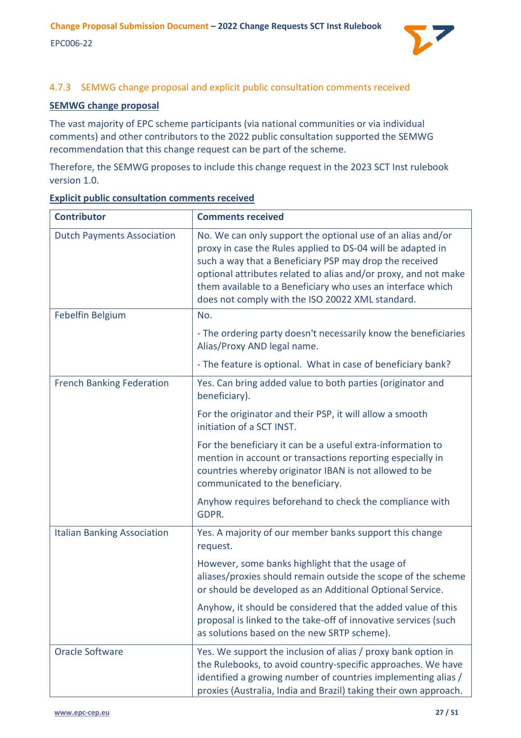

# <span id="page-26-0"></span>4.7.3 SEMWG change proposal and explicit public consultation comments received

# **SEMWG change proposal**

The vast majority of EPC scheme participants (via national communities or via individual comments) and other contributors to the 2022 public consultation supported the SEMWG recommendation that this change request can be part of the scheme.

Therefore, the SEMWG proposes to include this change request in the 2023 SCT Inst rulebook version 1.0.

| <b>Contributor</b>                 | <b>Comments received</b>                                                                                                                                                                                                                                                                                                                                                    |
|------------------------------------|-----------------------------------------------------------------------------------------------------------------------------------------------------------------------------------------------------------------------------------------------------------------------------------------------------------------------------------------------------------------------------|
| <b>Dutch Payments Association</b>  | No. We can only support the optional use of an alias and/or<br>proxy in case the Rules applied to DS-04 will be adapted in<br>such a way that a Beneficiary PSP may drop the received<br>optional attributes related to alias and/or proxy, and not make<br>them available to a Beneficiary who uses an interface which<br>does not comply with the ISO 20022 XML standard. |
| Febelfin Belgium                   | No.                                                                                                                                                                                                                                                                                                                                                                         |
|                                    | - The ordering party doesn't necessarily know the beneficiaries<br>Alias/Proxy AND legal name.                                                                                                                                                                                                                                                                              |
|                                    | - The feature is optional. What in case of beneficiary bank?                                                                                                                                                                                                                                                                                                                |
| <b>French Banking Federation</b>   | Yes. Can bring added value to both parties (originator and<br>beneficiary).                                                                                                                                                                                                                                                                                                 |
|                                    | For the originator and their PSP, it will allow a smooth<br>initiation of a SCT INST.                                                                                                                                                                                                                                                                                       |
|                                    | For the beneficiary it can be a useful extra-information to<br>mention in account or transactions reporting especially in<br>countries whereby originator IBAN is not allowed to be<br>communicated to the beneficiary.                                                                                                                                                     |
|                                    | Anyhow requires beforehand to check the compliance with<br>GDPR.                                                                                                                                                                                                                                                                                                            |
| <b>Italian Banking Association</b> | Yes. A majority of our member banks support this change<br>request.                                                                                                                                                                                                                                                                                                         |
|                                    | However, some banks highlight that the usage of<br>aliases/proxies should remain outside the scope of the scheme<br>or should be developed as an Additional Optional Service.                                                                                                                                                                                               |
|                                    | Anyhow, it should be considered that the added value of this<br>proposal is linked to the take-off of innovative services (such<br>as solutions based on the new SRTP scheme).                                                                                                                                                                                              |
| <b>Oracle Software</b>             | Yes. We support the inclusion of alias / proxy bank option in<br>the Rulebooks, to avoid country-specific approaches. We have<br>identified a growing number of countries implementing alias /<br>proxies (Australia, India and Brazil) taking their own approach.                                                                                                          |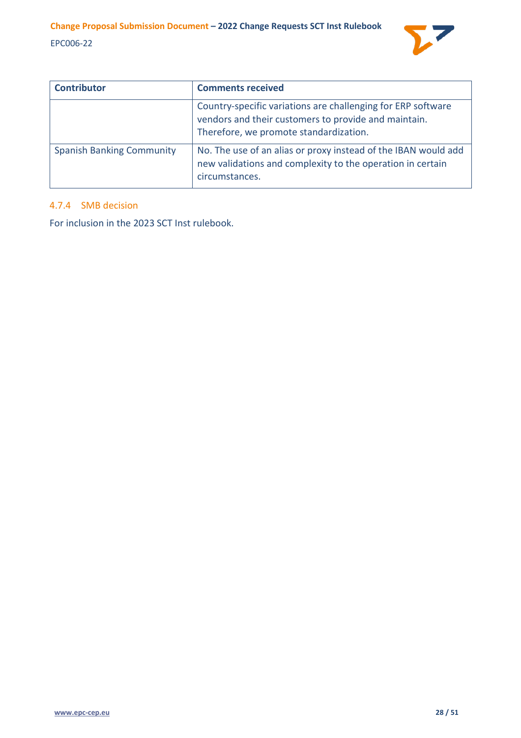

| <b>Contributor</b>               | <b>Comments received</b>                                                                                                                                       |
|----------------------------------|----------------------------------------------------------------------------------------------------------------------------------------------------------------|
|                                  | Country-specific variations are challenging for ERP software<br>vendors and their customers to provide and maintain.<br>Therefore, we promote standardization. |
| <b>Spanish Banking Community</b> | No. The use of an alias or proxy instead of the IBAN would add<br>new validations and complexity to the operation in certain<br>circumstances.                 |

# <span id="page-27-0"></span>4.7.4 SMB decision

For inclusion in the 2023 SCT Inst rulebook.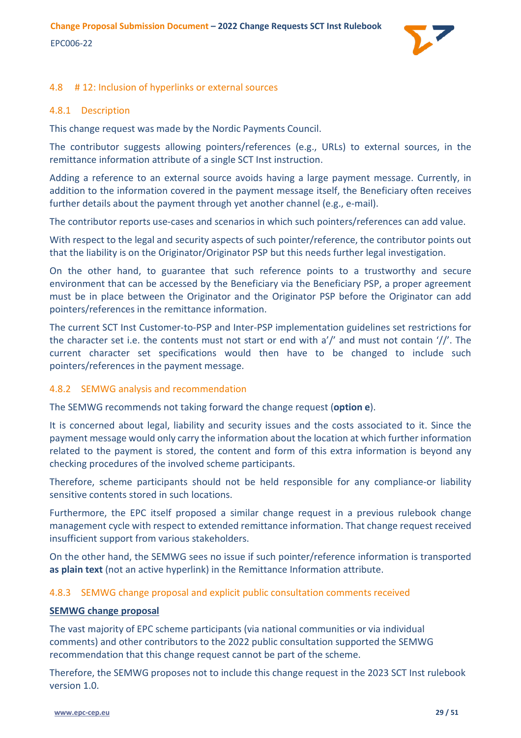

# <span id="page-28-0"></span>4.8 # 12: Inclusion of hyperlinks or external sources

### <span id="page-28-1"></span>4.8.1 Description

This change request was made by the Nordic Payments Council.

The contributor suggests allowing pointers/references (e.g., URLs) to external sources, in the remittance information attribute of a single SCT Inst instruction.

Adding a reference to an external source avoids having a large payment message. Currently, in addition to the information covered in the payment message itself, the Beneficiary often receives further details about the payment through yet another channel (e.g., e-mail).

The contributor reports use-cases and scenarios in which such pointers/references can add value.

With respect to the legal and security aspects of such pointer/reference, the contributor points out that the liability is on the Originator/Originator PSP but this needs further legal investigation.

On the other hand, to guarantee that such reference points to a trustworthy and secure environment that can be accessed by the Beneficiary via the Beneficiary PSP, a proper agreement must be in place between the Originator and the Originator PSP before the Originator can add pointers/references in the remittance information.

The current SCT Inst Customer-to-PSP and Inter-PSP implementation guidelines set restrictions for the character set i.e. the contents must not start or end with a'/' and must not contain '//'. The current character set specifications would then have to be changed to include such pointers/references in the payment message.

# <span id="page-28-2"></span>4.8.2 SEMWG analysis and recommendation

The SEMWG recommends not taking forward the change request (**option e**).

It is concerned about legal, liability and security issues and the costs associated to it. Since the payment message would only carry the information about the location at which further information related to the payment is stored, the content and form of this extra information is beyond any checking procedures of the involved scheme participants.

Therefore, scheme participants should not be held responsible for any compliance-or liability sensitive contents stored in such locations.

Furthermore, the EPC itself proposed a similar change request in a previous rulebook change management cycle with respect to extended remittance information. That change request received insufficient support from various stakeholders.

On the other hand, the SEMWG sees no issue if such pointer/reference information is transported **as plain text** (not an active hyperlink) in the Remittance Information attribute.

# <span id="page-28-3"></span>4.8.3 SEMWG change proposal and explicit public consultation comments received

#### **SEMWG change proposal**

The vast majority of EPC scheme participants (via national communities or via individual comments) and other contributors to the 2022 public consultation supported the SEMWG recommendation that this change request cannot be part of the scheme.

Therefore, the SEMWG proposes not to include this change request in the 2023 SCT Inst rulebook version 1.0.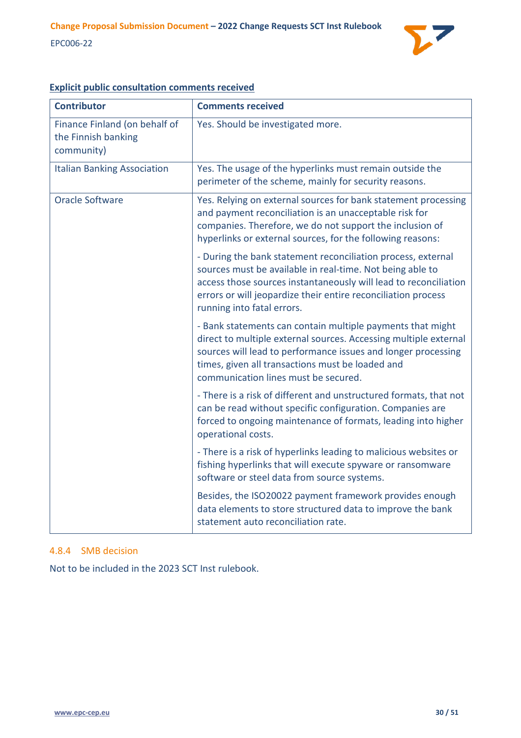

| <b>Contributor</b>                                                 | <b>Comments received</b>                                                                                                                                                                                                                                                                     |
|--------------------------------------------------------------------|----------------------------------------------------------------------------------------------------------------------------------------------------------------------------------------------------------------------------------------------------------------------------------------------|
| Finance Finland (on behalf of<br>the Finnish banking<br>community) | Yes. Should be investigated more.                                                                                                                                                                                                                                                            |
| <b>Italian Banking Association</b>                                 | Yes. The usage of the hyperlinks must remain outside the<br>perimeter of the scheme, mainly for security reasons.                                                                                                                                                                            |
| <b>Oracle Software</b>                                             | Yes. Relying on external sources for bank statement processing<br>and payment reconciliation is an unacceptable risk for<br>companies. Therefore, we do not support the inclusion of<br>hyperlinks or external sources, for the following reasons:                                           |
|                                                                    | - During the bank statement reconciliation process, external<br>sources must be available in real-time. Not being able to<br>access those sources instantaneously will lead to reconciliation<br>errors or will jeopardize their entire reconciliation process<br>running into fatal errors. |
|                                                                    | - Bank statements can contain multiple payments that might<br>direct to multiple external sources. Accessing multiple external<br>sources will lead to performance issues and longer processing<br>times, given all transactions must be loaded and<br>communication lines must be secured.  |
|                                                                    | - There is a risk of different and unstructured formats, that not<br>can be read without specific configuration. Companies are<br>forced to ongoing maintenance of formats, leading into higher<br>operational costs.                                                                        |
|                                                                    | - There is a risk of hyperlinks leading to malicious websites or<br>fishing hyperlinks that will execute spyware or ransomware<br>software or steel data from source systems.                                                                                                                |
|                                                                    | Besides, the ISO20022 payment framework provides enough<br>data elements to store structured data to improve the bank<br>statement auto reconciliation rate.                                                                                                                                 |

# **Explicit public consultation comments received**

#### <span id="page-29-0"></span>4.8.4 SMB decision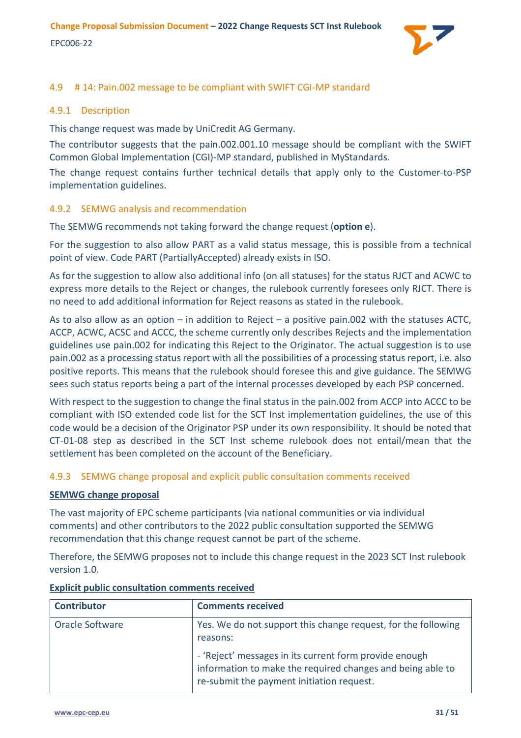

# <span id="page-30-0"></span>4.9 # 14: Pain.002 message to be compliant with SWIFT CGI-MP standard

# <span id="page-30-1"></span>4.9.1 Description

This change request was made by UniCredit AG Germany.

The contributor suggests that the pain.002.001.10 message should be compliant with the SWIFT Common Global Implementation (CGI)-MP standard, published in MyStandards.

The change request contains further technical details that apply only to the Customer-to-PSP implementation guidelines.

#### <span id="page-30-2"></span>4.9.2 SEMWG analysis and recommendation

The SEMWG recommends not taking forward the change request (**option e**).

For the suggestion to also allow PART as a valid status message, this is possible from a technical point of view. Code PART (PartiallyAccepted) already exists in ISO.

As for the suggestion to allow also additional info (on all statuses) for the status RJCT and ACWC to express more details to the Reject or changes, the rulebook currently foresees only RJCT. There is no need to add additional information for Reject reasons as stated in the rulebook.

As to also allow as an option – in addition to Reject – a positive pain.002 with the statuses ACTC, ACCP, ACWC, ACSC and ACCC, the scheme currently only describes Rejects and the implementation guidelines use pain.002 for indicating this Reject to the Originator. The actual suggestion is to use pain.002 as a processing status report with all the possibilities of a processing status report, i.e. also positive reports. This means that the rulebook should foresee this and give guidance. The SEMWG sees such status reports being a part of the internal processes developed by each PSP concerned.

With respect to the suggestion to change the final status in the pain.002 from ACCP into ACCC to be compliant with ISO extended code list for the SCT Inst implementation guidelines, the use of this code would be a decision of the Originator PSP under its own responsibility. It should be noted that CT-01-08 step as described in the SCT Inst scheme rulebook does not entail/mean that the settlement has been completed on the account of the Beneficiary.

# <span id="page-30-3"></span>4.9.3 SEMWG change proposal and explicit public consultation comments received

#### **SEMWG change proposal**

The vast majority of EPC scheme participants (via national communities or via individual comments) and other contributors to the 2022 public consultation supported the SEMWG recommendation that this change request cannot be part of the scheme.

Therefore, the SEMWG proposes not to include this change request in the 2023 SCT Inst rulebook version 1.0.

| <b>Contributor</b> | <b>Comments received</b>                                                                                                                                          |
|--------------------|-------------------------------------------------------------------------------------------------------------------------------------------------------------------|
| Oracle Software    | Yes. We do not support this change request, for the following<br>reasons:                                                                                         |
|                    | - 'Reject' messages in its current form provide enough<br>information to make the required changes and being able to<br>re-submit the payment initiation request. |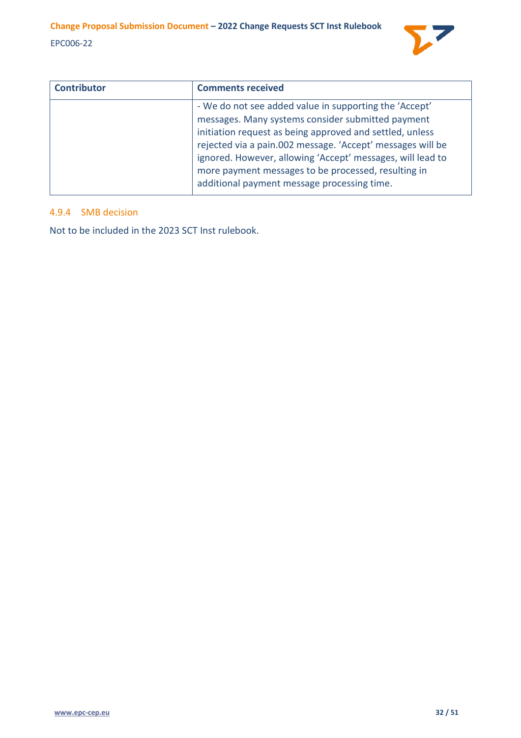

| <b>Contributor</b> | <b>Comments received</b>                                                                                                                                                                                                                                                                                                                                                                                  |
|--------------------|-----------------------------------------------------------------------------------------------------------------------------------------------------------------------------------------------------------------------------------------------------------------------------------------------------------------------------------------------------------------------------------------------------------|
|                    | - We do not see added value in supporting the 'Accept'<br>messages. Many systems consider submitted payment<br>initiation request as being approved and settled, unless<br>rejected via a pain.002 message. 'Accept' messages will be<br>ignored. However, allowing 'Accept' messages, will lead to<br>more payment messages to be processed, resulting in<br>additional payment message processing time. |

# <span id="page-31-0"></span>4.9.4 SMB decision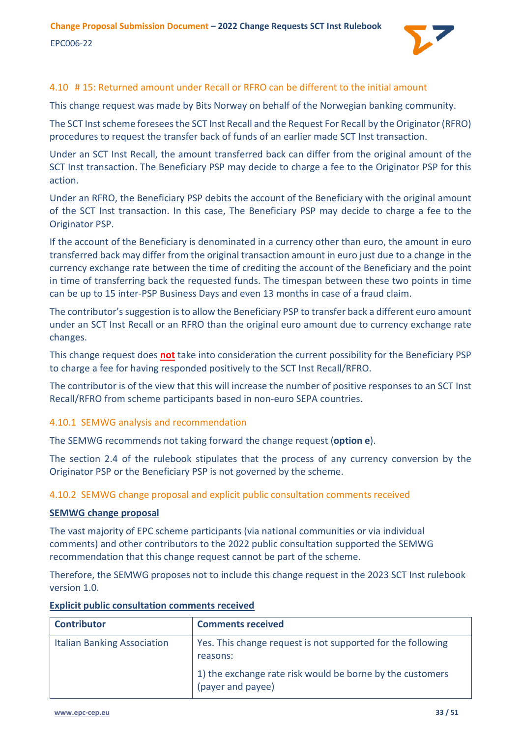

# <span id="page-32-0"></span>4.10 # 15: Returned amount under Recall or RFRO can be different to the initial amount

This change request was made by Bits Norway on behalf of the Norwegian banking community.

The SCT Inst scheme foresees the SCT Inst Recall and the Request For Recall by the Originator (RFRO) procedures to request the transfer back of funds of an earlier made SCT Inst transaction.

Under an SCT Inst Recall, the amount transferred back can differ from the original amount of the SCT Inst transaction. The Beneficiary PSP may decide to charge a fee to the Originator PSP for this action.

Under an RFRO, the Beneficiary PSP debits the account of the Beneficiary with the original amount of the SCT Inst transaction. In this case, The Beneficiary PSP may decide to charge a fee to the Originator PSP.

If the account of the Beneficiary is denominated in a currency other than euro, the amount in euro transferred back may differ from the original transaction amount in euro just due to a change in the currency exchange rate between the time of crediting the account of the Beneficiary and the point in time of transferring back the requested funds. The timespan between these two points in time can be up to 15 inter-PSP Business Days and even 13 months in case of a fraud claim.

The contributor's suggestion is to allow the Beneficiary PSP to transfer back a different euro amount under an SCT Inst Recall or an RFRO than the original euro amount due to currency exchange rate changes.

This change request does **not** take into consideration the current possibility for the Beneficiary PSP to charge a fee for having responded positively to the SCT Inst Recall/RFRO.

The contributor is of the view that this will increase the number of positive responses to an SCT Inst Recall/RFRO from scheme participants based in non-euro SEPA countries.

# <span id="page-32-1"></span>4.10.1 SEMWG analysis and recommendation

The SEMWG recommends not taking forward the change request (**option e**).

The section 2.4 of the rulebook stipulates that the process of any currency conversion by the Originator PSP or the Beneficiary PSP is not governed by the scheme.

#### <span id="page-32-2"></span>4.10.2 SEMWG change proposal and explicit public consultation comments received

#### **SEMWG change proposal**

The vast majority of EPC scheme participants (via national communities or via individual comments) and other contributors to the 2022 public consultation supported the SEMWG recommendation that this change request cannot be part of the scheme.

Therefore, the SEMWG proposes not to include this change request in the 2023 SCT Inst rulebook version 1.0.

| <b>Contributor</b>                 | <b>Comments received</b>                                                       |
|------------------------------------|--------------------------------------------------------------------------------|
| <b>Italian Banking Association</b> | Yes. This change request is not supported for the following<br>reasons:        |
|                                    | 1) the exchange rate risk would be borne by the customers<br>(payer and payee) |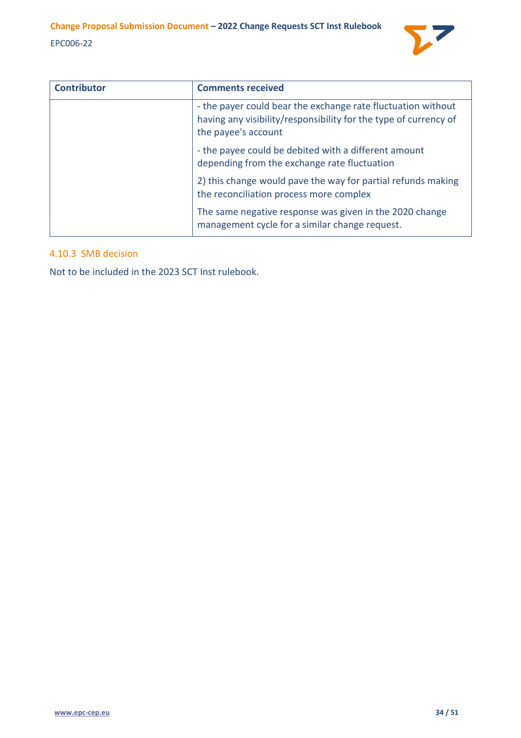

| <b>Contributor</b> | <b>Comments received</b>                                                                                                                                |
|--------------------|---------------------------------------------------------------------------------------------------------------------------------------------------------|
|                    | - the payer could bear the exchange rate fluctuation without<br>having any visibility/responsibility for the type of currency of<br>the payee's account |
|                    | - the payee could be debited with a different amount<br>depending from the exchange rate fluctuation                                                    |
|                    | 2) this change would pave the way for partial refunds making<br>the reconciliation process more complex                                                 |
|                    | The same negative response was given in the 2020 change<br>management cycle for a similar change request.                                               |

# <span id="page-33-0"></span>4.10.3 SMB decision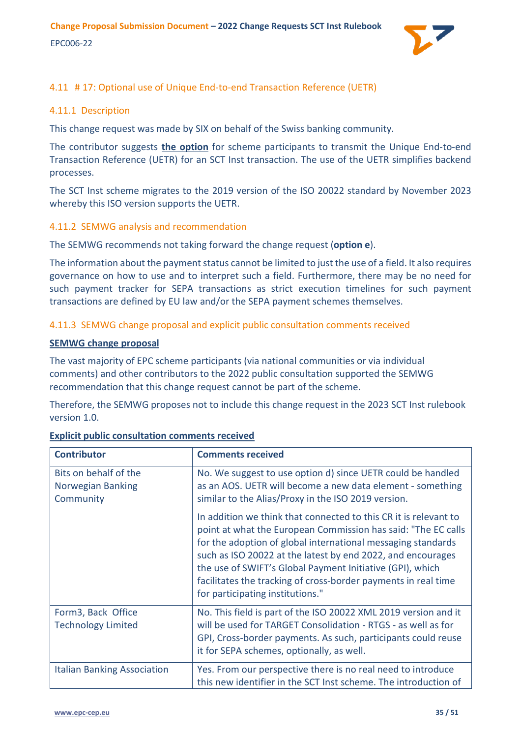

# <span id="page-34-0"></span>4.11 # 17: Optional use of Unique End-to-end Transaction Reference (UETR)

# <span id="page-34-1"></span>4.11.1 Description

This change request was made by SIX on behalf of the Swiss banking community.

The contributor suggests **the option** for scheme participants to transmit the Unique End-to-end Transaction Reference (UETR) for an SCT Inst transaction. The use of the UETR simplifies backend processes.

The SCT Inst scheme migrates to the 2019 version of the ISO 20022 standard by November 2023 whereby this ISO version supports the UETR.

# <span id="page-34-2"></span>4.11.2 SEMWG analysis and recommendation

The SEMWG recommends not taking forward the change request (**option e**).

The information about the payment status cannot be limited to just the use of a field. It also requires governance on how to use and to interpret such a field. Furthermore, there may be no need for such payment tracker for SEPA transactions as strict execution timelines for such payment transactions are defined by EU law and/or the SEPA payment schemes themselves.

<span id="page-34-3"></span>4.11.3 SEMWG change proposal and explicit public consultation comments received

#### **SEMWG change proposal**

The vast majority of EPC scheme participants (via national communities or via individual comments) and other contributors to the 2022 public consultation supported the SEMWG recommendation that this change request cannot be part of the scheme.

Therefore, the SEMWG proposes not to include this change request in the 2023 SCT Inst rulebook version 1.0.

| <b>Contributor</b>                                      | <b>Comments received</b>                                                                                                                                                                                                                                                                                                                                                                                                            |
|---------------------------------------------------------|-------------------------------------------------------------------------------------------------------------------------------------------------------------------------------------------------------------------------------------------------------------------------------------------------------------------------------------------------------------------------------------------------------------------------------------|
| Bits on behalf of the<br>Norwegian Banking<br>Community | No. We suggest to use option d) since UETR could be handled<br>as an AOS. UETR will become a new data element - something<br>similar to the Alias/Proxy in the ISO 2019 version.                                                                                                                                                                                                                                                    |
|                                                         | In addition we think that connected to this CR it is relevant to<br>point at what the European Commission has said: "The EC calls<br>for the adoption of global international messaging standards<br>such as ISO 20022 at the latest by end 2022, and encourages<br>the use of SWIFT's Global Payment Initiative (GPI), which<br>facilitates the tracking of cross-border payments in real time<br>for participating institutions." |
| Form3, Back Office<br><b>Technology Limited</b>         | No. This field is part of the ISO 20022 XML 2019 version and it<br>will be used for TARGET Consolidation - RTGS - as well as for<br>GPI, Cross-border payments. As such, participants could reuse<br>it for SEPA schemes, optionally, as well.                                                                                                                                                                                      |
| <b>Italian Banking Association</b>                      | Yes. From our perspective there is no real need to introduce<br>this new identifier in the SCT Inst scheme. The introduction of                                                                                                                                                                                                                                                                                                     |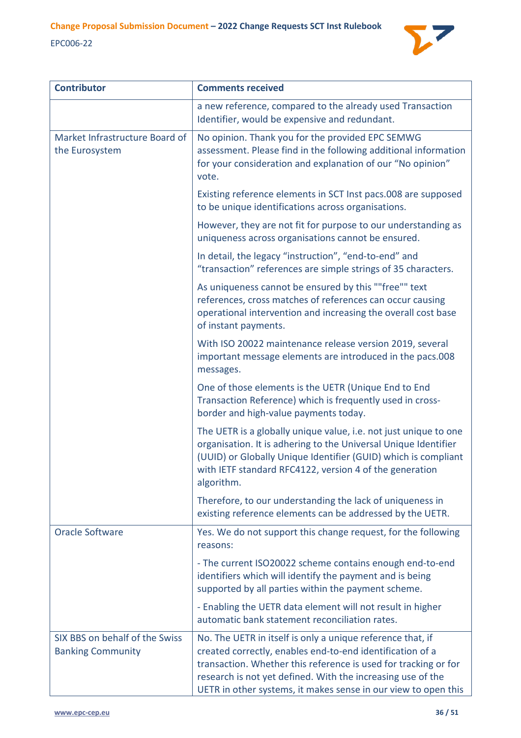

| <b>Contributor</b>                                         | <b>Comments received</b>                                                                                                                                                                                                                                                                                                    |
|------------------------------------------------------------|-----------------------------------------------------------------------------------------------------------------------------------------------------------------------------------------------------------------------------------------------------------------------------------------------------------------------------|
|                                                            | a new reference, compared to the already used Transaction<br>Identifier, would be expensive and redundant.                                                                                                                                                                                                                  |
| Market Infrastructure Board of<br>the Eurosystem           | No opinion. Thank you for the provided EPC SEMWG<br>assessment. Please find in the following additional information<br>for your consideration and explanation of our "No opinion"<br>vote.                                                                                                                                  |
|                                                            | Existing reference elements in SCT Inst pacs.008 are supposed<br>to be unique identifications across organisations.                                                                                                                                                                                                         |
|                                                            | However, they are not fit for purpose to our understanding as<br>uniqueness across organisations cannot be ensured.                                                                                                                                                                                                         |
|                                                            | In detail, the legacy "instruction", "end-to-end" and<br>"transaction" references are simple strings of 35 characters.                                                                                                                                                                                                      |
|                                                            | As uniqueness cannot be ensured by this ""free"" text<br>references, cross matches of references can occur causing<br>operational intervention and increasing the overall cost base<br>of instant payments.                                                                                                                 |
|                                                            | With ISO 20022 maintenance release version 2019, several<br>important message elements are introduced in the pacs.008<br>messages.                                                                                                                                                                                          |
|                                                            | One of those elements is the UETR (Unique End to End<br>Transaction Reference) which is frequently used in cross-<br>border and high-value payments today.                                                                                                                                                                  |
|                                                            | The UETR is a globally unique value, i.e. not just unique to one<br>organisation. It is adhering to the Universal Unique Identifier<br>(UUID) or Globally Unique Identifier (GUID) which is compliant<br>with IETF standard RFC4122, version 4 of the generation<br>algorithm.                                              |
|                                                            | Therefore, to our understanding the lack of uniqueness in<br>existing reference elements can be addressed by the UETR.                                                                                                                                                                                                      |
| <b>Oracle Software</b>                                     | Yes. We do not support this change request, for the following<br>reasons:                                                                                                                                                                                                                                                   |
|                                                            | - The current ISO20022 scheme contains enough end-to-end<br>identifiers which will identify the payment and is being<br>supported by all parties within the payment scheme.                                                                                                                                                 |
|                                                            | - Enabling the UETR data element will not result in higher<br>automatic bank statement reconciliation rates.                                                                                                                                                                                                                |
| SIX BBS on behalf of the Swiss<br><b>Banking Community</b> | No. The UETR in itself is only a unique reference that, if<br>created correctly, enables end-to-end identification of a<br>transaction. Whether this reference is used for tracking or for<br>research is not yet defined. With the increasing use of the<br>UETR in other systems, it makes sense in our view to open this |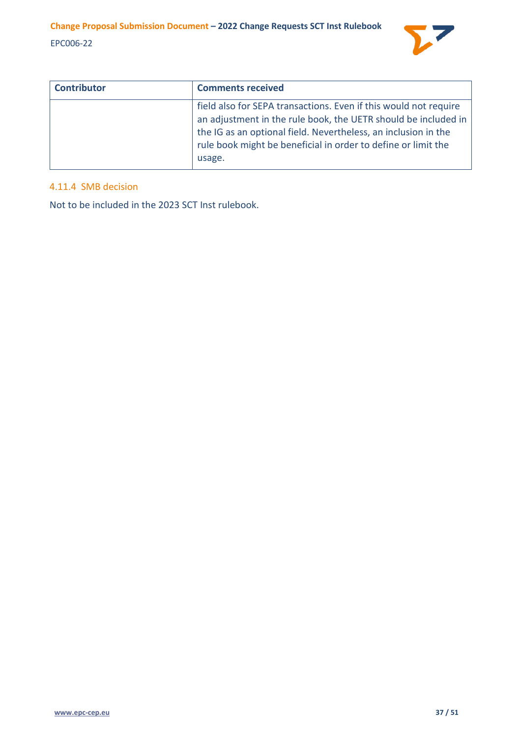

| <b>Contributor</b> | <b>Comments received</b>                                                                                                                                                                                                                                                        |
|--------------------|---------------------------------------------------------------------------------------------------------------------------------------------------------------------------------------------------------------------------------------------------------------------------------|
|                    | field also for SEPA transactions. Even if this would not require<br>an adjustment in the rule book, the UETR should be included in<br>the IG as an optional field. Nevertheless, an inclusion in the<br>rule book might be beneficial in order to define or limit the<br>usage. |

# <span id="page-36-0"></span>4.11.4 SMB decision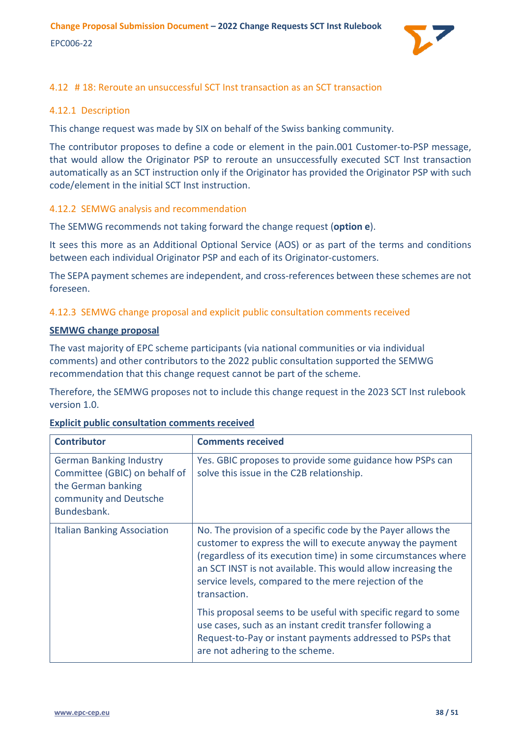

# <span id="page-37-0"></span>4.12 # 18: Reroute an unsuccessful SCT Inst transaction as an SCT transaction

# <span id="page-37-1"></span>4.12.1 Description

This change request was made by SIX on behalf of the Swiss banking community.

The contributor proposes to define a code or element in the pain.001 Customer-to-PSP message, that would allow the Originator PSP to reroute an unsuccessfully executed SCT Inst transaction automatically as an SCT instruction only if the Originator has provided the Originator PSP with such code/element in the initial SCT Inst instruction.

# <span id="page-37-2"></span>4.12.2 SEMWG analysis and recommendation

The SEMWG recommends not taking forward the change request (**option e**).

It sees this more as an Additional Optional Service (AOS) or as part of the terms and conditions between each individual Originator PSP and each of its Originator-customers.

The SEPA payment schemes are independent, and cross-references between these schemes are not foreseen.

# <span id="page-37-3"></span>4.12.3 SEMWG change proposal and explicit public consultation comments received

#### **SEMWG change proposal**

The vast majority of EPC scheme participants (via national communities or via individual comments) and other contributors to the 2022 public consultation supported the SEMWG recommendation that this change request cannot be part of the scheme.

Therefore, the SEMWG proposes not to include this change request in the 2023 SCT Inst rulebook version 1.0.

| <b>Contributor</b>                                                                                                             | <b>Comments received</b>                                                                                                                                                                                                                                                                                                               |
|--------------------------------------------------------------------------------------------------------------------------------|----------------------------------------------------------------------------------------------------------------------------------------------------------------------------------------------------------------------------------------------------------------------------------------------------------------------------------------|
| <b>German Banking Industry</b><br>Committee (GBIC) on behalf of<br>the German banking<br>community and Deutsche<br>Bundesbank. | Yes. GBIC proposes to provide some guidance how PSPs can<br>solve this issue in the C2B relationship.                                                                                                                                                                                                                                  |
| <b>Italian Banking Association</b>                                                                                             | No. The provision of a specific code by the Payer allows the<br>customer to express the will to execute anyway the payment<br>(regardless of its execution time) in some circumstances where<br>an SCT INST is not available. This would allow increasing the<br>service levels, compared to the mere rejection of the<br>transaction. |
|                                                                                                                                | This proposal seems to be useful with specific regard to some<br>use cases, such as an instant credit transfer following a<br>Request-to-Pay or instant payments addressed to PSPs that<br>are not adhering to the scheme.                                                                                                             |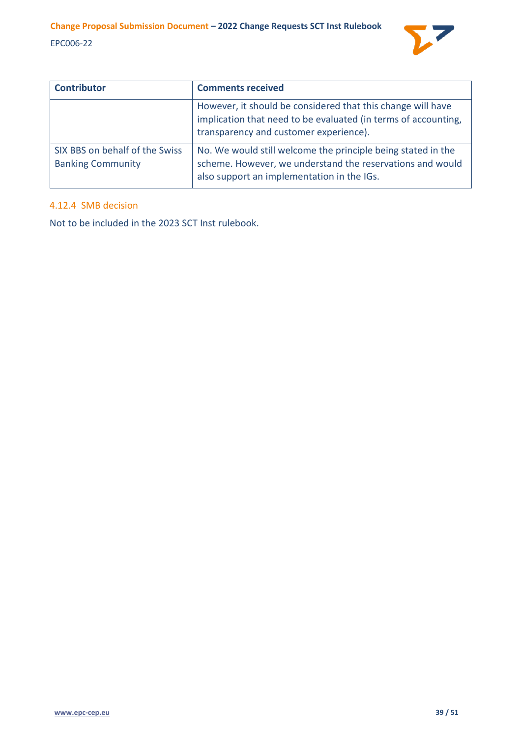

| <b>Contributor</b>                                         | <b>Comments received</b>                                                                                                                                                |
|------------------------------------------------------------|-------------------------------------------------------------------------------------------------------------------------------------------------------------------------|
|                                                            | However, it should be considered that this change will have<br>implication that need to be evaluated (in terms of accounting,<br>transparency and customer experience). |
| SIX BBS on behalf of the Swiss<br><b>Banking Community</b> | No. We would still welcome the principle being stated in the<br>scheme. However, we understand the reservations and would<br>also support an implementation in the IGs. |

# <span id="page-38-0"></span>4.12.4 SMB decision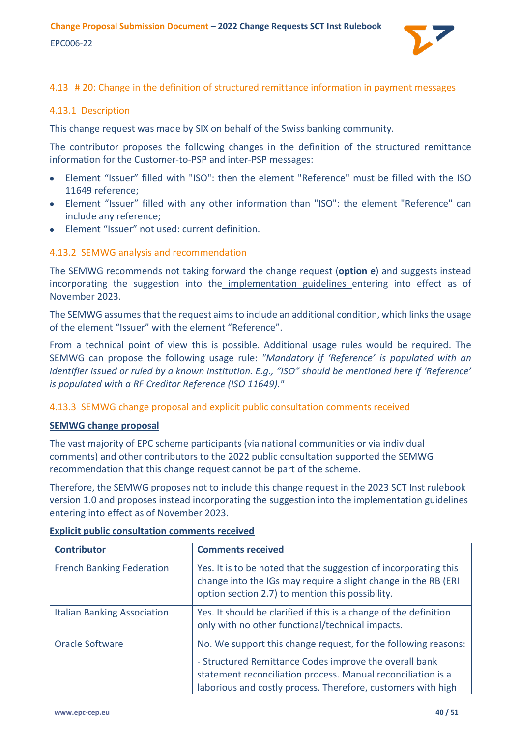

# <span id="page-39-0"></span>4.13 # 20: Change in the definition of structured remittance information in payment messages

# <span id="page-39-1"></span>4.13.1 Description

This change request was made by SIX on behalf of the Swiss banking community.

The contributor proposes the following changes in the definition of the structured remittance information for the Customer-to-PSP and inter-PSP messages:

- Element "Issuer" filled with "ISO": then the element "Reference" must be filled with the ISO 11649 reference;
- Element "Issuer" filled with any other information than "ISO": the element "Reference" can include any reference;
- Element "Issuer" not used: current definition.

# <span id="page-39-2"></span>4.13.2 SEMWG analysis and recommendation

The SEMWG recommends not taking forward the change request (**option e**) and suggests instead incorporating the suggestion into the implementation guidelines entering into effect as of November 2023.

The SEMWG assumes that the request aims to include an additional condition, which links the usage of the element "Issuer" with the element "Reference".

From a technical point of view this is possible. Additional usage rules would be required. The SEMWG can propose the following usage rule: *"Mandatory if 'Reference' is populated with an identifier issued or ruled by a known institution. E.g., "ISO" should be mentioned here if 'Reference' is populated with a RF Creditor Reference (ISO 11649)."*

<span id="page-39-3"></span>4.13.3 SEMWG change proposal and explicit public consultation comments received

# **SEMWG change proposal**

The vast majority of EPC scheme participants (via national communities or via individual comments) and other contributors to the 2022 public consultation supported the SEMWG recommendation that this change request cannot be part of the scheme.

Therefore, the SEMWG proposes not to include this change request in the 2023 SCT Inst rulebook version 1.0 and proposes instead incorporating the suggestion into the implementation guidelines entering into effect as of November 2023.

| <b>Contributor</b>                 | <b>Comments received</b>                                                                                                                                                                                                                                 |
|------------------------------------|----------------------------------------------------------------------------------------------------------------------------------------------------------------------------------------------------------------------------------------------------------|
| <b>French Banking Federation</b>   | Yes. It is to be noted that the suggestion of incorporating this<br>change into the IGs may require a slight change in the RB (ERI<br>option section 2.7) to mention this possibility.                                                                   |
| <b>Italian Banking Association</b> | Yes. It should be clarified if this is a change of the definition<br>only with no other functional/technical impacts.                                                                                                                                    |
| Oracle Software                    | No. We support this change request, for the following reasons:<br>- Structured Remittance Codes improve the overall bank<br>statement reconciliation process. Manual reconciliation is a<br>laborious and costly process. Therefore, customers with high |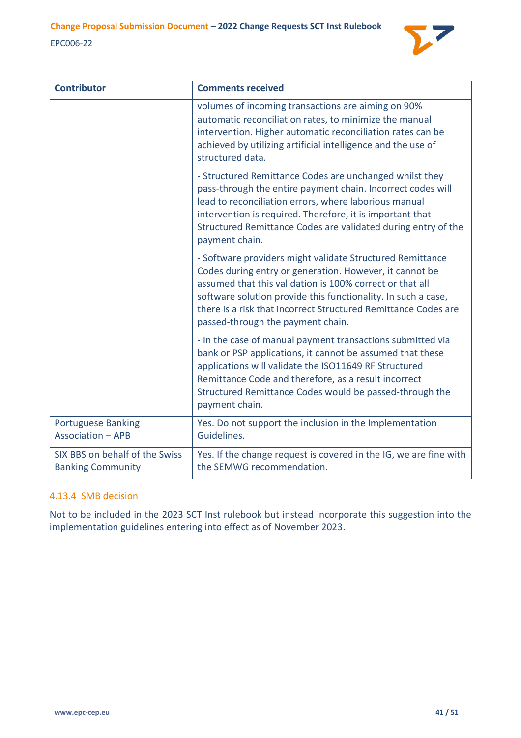

| <b>Contributor</b>                                         | <b>Comments received</b>                                                                                                                                                                                                                                                                                                                                 |
|------------------------------------------------------------|----------------------------------------------------------------------------------------------------------------------------------------------------------------------------------------------------------------------------------------------------------------------------------------------------------------------------------------------------------|
|                                                            | volumes of incoming transactions are aiming on 90%<br>automatic reconciliation rates, to minimize the manual<br>intervention. Higher automatic reconciliation rates can be<br>achieved by utilizing artificial intelligence and the use of<br>structured data.                                                                                           |
|                                                            | - Structured Remittance Codes are unchanged whilst they<br>pass-through the entire payment chain. Incorrect codes will<br>lead to reconciliation errors, where laborious manual<br>intervention is required. Therefore, it is important that<br>Structured Remittance Codes are validated during entry of the<br>payment chain.                          |
|                                                            | - Software providers might validate Structured Remittance<br>Codes during entry or generation. However, it cannot be<br>assumed that this validation is 100% correct or that all<br>software solution provide this functionality. In such a case,<br>there is a risk that incorrect Structured Remittance Codes are<br>passed-through the payment chain. |
|                                                            | - In the case of manual payment transactions submitted via<br>bank or PSP applications, it cannot be assumed that these<br>applications will validate the ISO11649 RF Structured<br>Remittance Code and therefore, as a result incorrect<br>Structured Remittance Codes would be passed-through the<br>payment chain.                                    |
| <b>Portuguese Banking</b><br><b>Association - APB</b>      | Yes. Do not support the inclusion in the Implementation<br>Guidelines.                                                                                                                                                                                                                                                                                   |
| SIX BBS on behalf of the Swiss<br><b>Banking Community</b> | Yes. If the change request is covered in the IG, we are fine with<br>the SEMWG recommendation.                                                                                                                                                                                                                                                           |

# <span id="page-40-0"></span>4.13.4 SMB decision

Not to be included in the 2023 SCT Inst rulebook but instead incorporate this suggestion into the implementation guidelines entering into effect as of November 2023.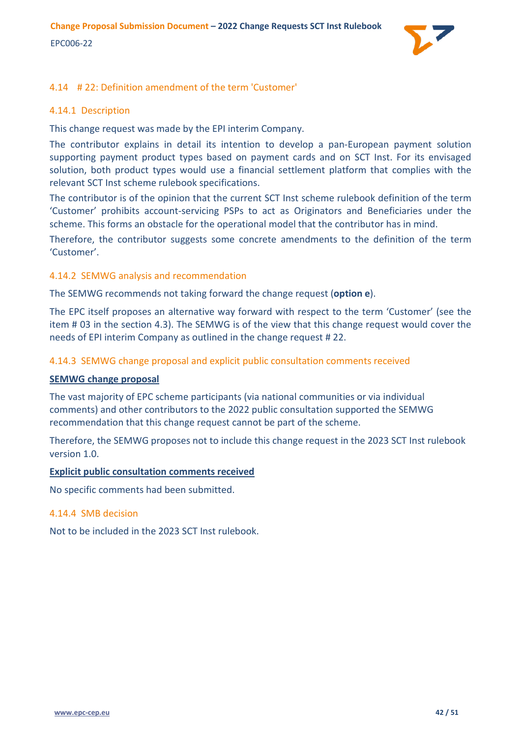

# <span id="page-41-0"></span>4.14 # 22: Definition amendment of the term 'Customer'

### <span id="page-41-1"></span>4.14.1 Description

This change request was made by the EPI interim Company.

The contributor explains in detail its intention to develop a pan-European payment solution supporting payment product types based on payment cards and on SCT Inst. For its envisaged solution, both product types would use a financial settlement platform that complies with the relevant SCT Inst scheme rulebook specifications.

The contributor is of the opinion that the current SCT Inst scheme rulebook definition of the term 'Customer' prohibits account-servicing PSPs to act as Originators and Beneficiaries under the scheme. This forms an obstacle for the operational model that the contributor has in mind.

Therefore, the contributor suggests some concrete amendments to the definition of the term 'Customer'.

#### <span id="page-41-2"></span>4.14.2 SEMWG analysis and recommendation

The SEMWG recommends not taking forward the change request (**option e**).

The EPC itself proposes an alternative way forward with respect to the term 'Customer' (see the item # 03 in the section [4.3\)](#page-17-0). The SEMWG is of the view that this change request would cover the needs of EPI interim Company as outlined in the change request # 22.

# <span id="page-41-3"></span>4.14.3 SEMWG change proposal and explicit public consultation comments received

#### **SEMWG change proposal**

The vast majority of EPC scheme participants (via national communities or via individual comments) and other contributors to the 2022 public consultation supported the SEMWG recommendation that this change request cannot be part of the scheme.

Therefore, the SEMWG proposes not to include this change request in the 2023 SCT Inst rulebook version 1.0.

#### **Explicit public consultation comments received**

No specific comments had been submitted.

#### <span id="page-41-4"></span>4.14.4 SMB decision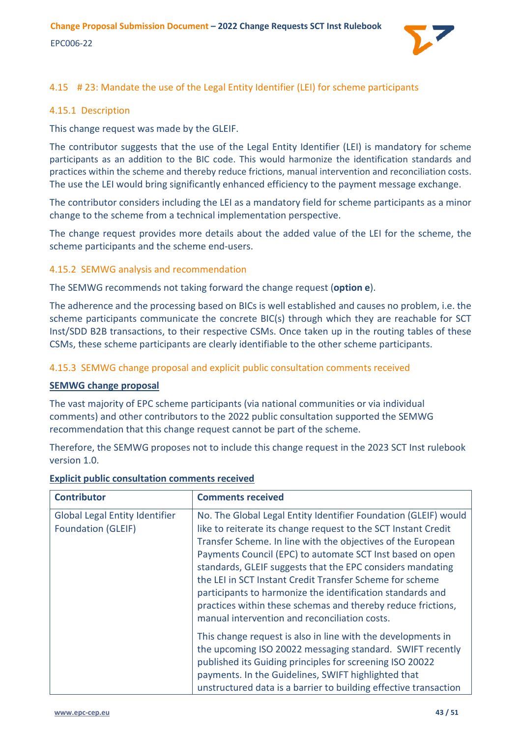

# <span id="page-42-0"></span>4.15 # 23: Mandate the use of the Legal Entity Identifier (LEI) for scheme participants

### <span id="page-42-1"></span>4.15.1 Description

This change request was made by the GLEIF.

The contributor suggests that the use of the Legal Entity Identifier (LEI) is mandatory for scheme participants as an addition to the BIC code. This would harmonize the identification standards and practices within the scheme and thereby reduce frictions, manual intervention and reconciliation costs. The use the LEI would bring significantly enhanced efficiency to the payment message exchange.

The contributor considers including the LEI as a mandatory field for scheme participants as a minor change to the scheme from a technical implementation perspective.

The change request provides more details about the added value of the LEI for the scheme, the scheme participants and the scheme end-users.

# <span id="page-42-2"></span>4.15.2 SEMWG analysis and recommendation

The SEMWG recommends not taking forward the change request (**option e**).

The adherence and the processing based on BICs is well established and causes no problem, i.e. the scheme participants communicate the concrete BIC(s) through which they are reachable for SCT Inst/SDD B2B transactions, to their respective CSMs. Once taken up in the routing tables of these CSMs, these scheme participants are clearly identifiable to the other scheme participants.

#### <span id="page-42-3"></span>4.15.3 SEMWG change proposal and explicit public consultation comments received

#### **SEMWG change proposal**

The vast majority of EPC scheme participants (via national communities or via individual comments) and other contributors to the 2022 public consultation supported the SEMWG recommendation that this change request cannot be part of the scheme.

Therefore, the SEMWG proposes not to include this change request in the 2023 SCT Inst rulebook version 1.0.

| <b>Contributor</b>                                                 | <b>Comments received</b>                                                                                                                                                                                                                                                                                                                                                                                                                                                                                                                                                |
|--------------------------------------------------------------------|-------------------------------------------------------------------------------------------------------------------------------------------------------------------------------------------------------------------------------------------------------------------------------------------------------------------------------------------------------------------------------------------------------------------------------------------------------------------------------------------------------------------------------------------------------------------------|
| <b>Global Legal Entity Identifier</b><br><b>Foundation (GLEIF)</b> | No. The Global Legal Entity Identifier Foundation (GLEIF) would<br>like to reiterate its change request to the SCT Instant Credit<br>Transfer Scheme. In line with the objectives of the European<br>Payments Council (EPC) to automate SCT Inst based on open<br>standards, GLEIF suggests that the EPC considers mandating<br>the LEI in SCT Instant Credit Transfer Scheme for scheme<br>participants to harmonize the identification standards and<br>practices within these schemas and thereby reduce frictions,<br>manual intervention and reconciliation costs. |
|                                                                    | This change request is also in line with the developments in<br>the upcoming ISO 20022 messaging standard. SWIFT recently<br>published its Guiding principles for screening ISO 20022<br>payments. In the Guidelines, SWIFT highlighted that<br>unstructured data is a barrier to building effective transaction                                                                                                                                                                                                                                                        |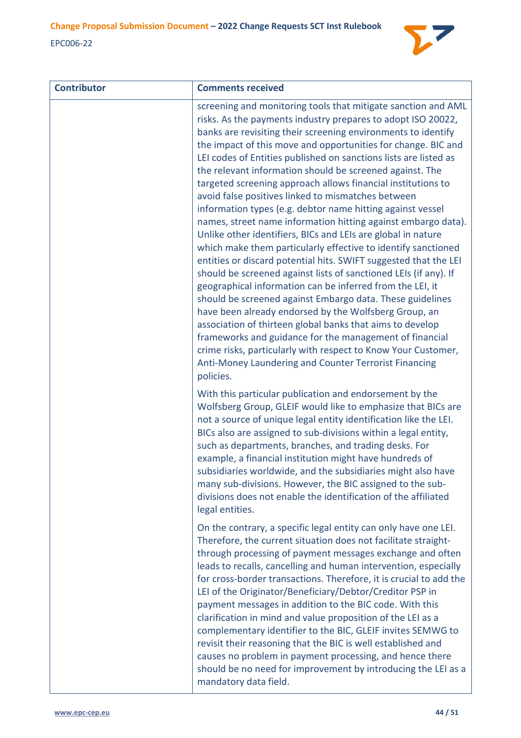

| <b>Contributor</b> | <b>Comments received</b>                                                                                                                                                                                                                                                                                                                                                                                                                                                                                                                                                                                                                                                                                                                                                                                                                                                                                                                                                                                                                                                                                                                                                                                                                                                                                                                                                        |
|--------------------|---------------------------------------------------------------------------------------------------------------------------------------------------------------------------------------------------------------------------------------------------------------------------------------------------------------------------------------------------------------------------------------------------------------------------------------------------------------------------------------------------------------------------------------------------------------------------------------------------------------------------------------------------------------------------------------------------------------------------------------------------------------------------------------------------------------------------------------------------------------------------------------------------------------------------------------------------------------------------------------------------------------------------------------------------------------------------------------------------------------------------------------------------------------------------------------------------------------------------------------------------------------------------------------------------------------------------------------------------------------------------------|
|                    | screening and monitoring tools that mitigate sanction and AML<br>risks. As the payments industry prepares to adopt ISO 20022,<br>banks are revisiting their screening environments to identify<br>the impact of this move and opportunities for change. BIC and<br>LEI codes of Entities published on sanctions lists are listed as<br>the relevant information should be screened against. The<br>targeted screening approach allows financial institutions to<br>avoid false positives linked to mismatches between<br>information types (e.g. debtor name hitting against vessel<br>names, street name information hitting against embargo data).<br>Unlike other identifiers, BICs and LEIs are global in nature<br>which make them particularly effective to identify sanctioned<br>entities or discard potential hits. SWIFT suggested that the LEI<br>should be screened against lists of sanctioned LEIs (if any). If<br>geographical information can be inferred from the LEI, it<br>should be screened against Embargo data. These guidelines<br>have been already endorsed by the Wolfsberg Group, an<br>association of thirteen global banks that aims to develop<br>frameworks and guidance for the management of financial<br>crime risks, particularly with respect to Know Your Customer,<br>Anti-Money Laundering and Counter Terrorist Financing<br>policies. |
|                    | With this particular publication and endorsement by the<br>Wolfsberg Group, GLEIF would like to emphasize that BICs are<br>not a source of unique legal entity identification like the LEI.<br>BICs also are assigned to sub-divisions within a legal entity,<br>such as departments, branches, and trading desks. For<br>example, a financial institution might have hundreds of<br>subsidiaries worldwide, and the subsidiaries might also have<br>many sub-divisions. However, the BIC assigned to the sub-<br>divisions does not enable the identification of the affiliated<br>legal entities.                                                                                                                                                                                                                                                                                                                                                                                                                                                                                                                                                                                                                                                                                                                                                                             |
|                    | On the contrary, a specific legal entity can only have one LEI.<br>Therefore, the current situation does not facilitate straight-<br>through processing of payment messages exchange and often<br>leads to recalls, cancelling and human intervention, especially<br>for cross-border transactions. Therefore, it is crucial to add the<br>LEI of the Originator/Beneficiary/Debtor/Creditor PSP in<br>payment messages in addition to the BIC code. With this<br>clarification in mind and value proposition of the LEI as a<br>complementary identifier to the BIC, GLEIF invites SEMWG to<br>revisit their reasoning that the BIC is well established and<br>causes no problem in payment processing, and hence there<br>should be no need for improvement by introducing the LEI as a<br>mandatory data field.                                                                                                                                                                                                                                                                                                                                                                                                                                                                                                                                                              |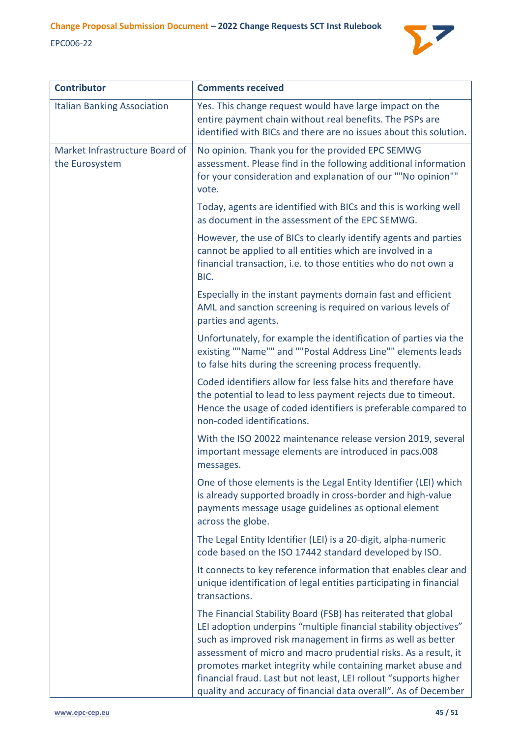

| <b>Contributor</b>                               | <b>Comments received</b>                                                                                                                                                                                                                                                                                                                                                                                                                                                    |
|--------------------------------------------------|-----------------------------------------------------------------------------------------------------------------------------------------------------------------------------------------------------------------------------------------------------------------------------------------------------------------------------------------------------------------------------------------------------------------------------------------------------------------------------|
| <b>Italian Banking Association</b>               | Yes. This change request would have large impact on the<br>entire payment chain without real benefits. The PSPs are<br>identified with BICs and there are no issues about this solution.                                                                                                                                                                                                                                                                                    |
| Market Infrastructure Board of<br>the Eurosystem | No opinion. Thank you for the provided EPC SEMWG<br>assessment. Please find in the following additional information<br>for your consideration and explanation of our ""No opinion""<br>vote.                                                                                                                                                                                                                                                                                |
|                                                  | Today, agents are identified with BICs and this is working well<br>as document in the assessment of the EPC SEMWG.                                                                                                                                                                                                                                                                                                                                                          |
|                                                  | However, the use of BICs to clearly identify agents and parties<br>cannot be applied to all entities which are involved in a<br>financial transaction, i.e. to those entities who do not own a<br>BIC.                                                                                                                                                                                                                                                                      |
|                                                  | Especially in the instant payments domain fast and efficient<br>AML and sanction screening is required on various levels of<br>parties and agents.                                                                                                                                                                                                                                                                                                                          |
|                                                  | Unfortunately, for example the identification of parties via the<br>existing ""Name"" and ""Postal Address Line"" elements leads<br>to false hits during the screening process frequently.                                                                                                                                                                                                                                                                                  |
|                                                  | Coded identifiers allow for less false hits and therefore have<br>the potential to lead to less payment rejects due to timeout.<br>Hence the usage of coded identifiers is preferable compared to<br>non-coded identifications.                                                                                                                                                                                                                                             |
|                                                  | With the ISO 20022 maintenance release version 2019, several<br>important message elements are introduced in pacs.008<br>messages.                                                                                                                                                                                                                                                                                                                                          |
|                                                  | One of those elements is the Legal Entity Identifier (LEI) which<br>is already supported broadly in cross-border and high-value<br>payments message usage guidelines as optional element<br>across the globe.                                                                                                                                                                                                                                                               |
|                                                  | The Legal Entity Identifier (LEI) is a 20-digit, alpha-numeric<br>code based on the ISO 17442 standard developed by ISO.                                                                                                                                                                                                                                                                                                                                                    |
|                                                  | It connects to key reference information that enables clear and<br>unique identification of legal entities participating in financial<br>transactions.                                                                                                                                                                                                                                                                                                                      |
|                                                  | The Financial Stability Board (FSB) has reiterated that global<br>LEI adoption underpins "multiple financial stability objectives"<br>such as improved risk management in firms as well as better<br>assessment of micro and macro prudential risks. As a result, it<br>promotes market integrity while containing market abuse and<br>financial fraud. Last but not least, LEI rollout "supports higher<br>quality and accuracy of financial data overall". As of December |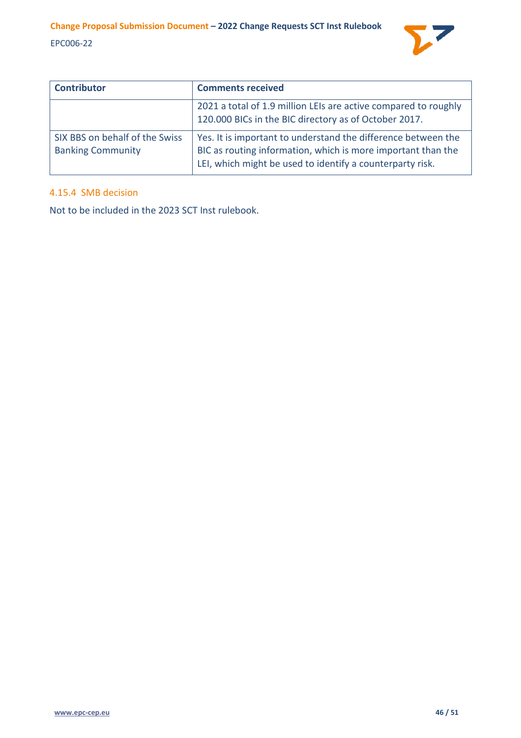

| <b>Contributor</b>                                         | <b>Comments received</b>                                                                                                                                                                   |
|------------------------------------------------------------|--------------------------------------------------------------------------------------------------------------------------------------------------------------------------------------------|
|                                                            | 2021 a total of 1.9 million LEIs are active compared to roughly<br>120.000 BICs in the BIC directory as of October 2017.                                                                   |
| SIX BBS on behalf of the Swiss<br><b>Banking Community</b> | Yes. It is important to understand the difference between the<br>BIC as routing information, which is more important than the<br>LEI, which might be used to identify a counterparty risk. |

# <span id="page-45-0"></span>4.15.4 SMB decision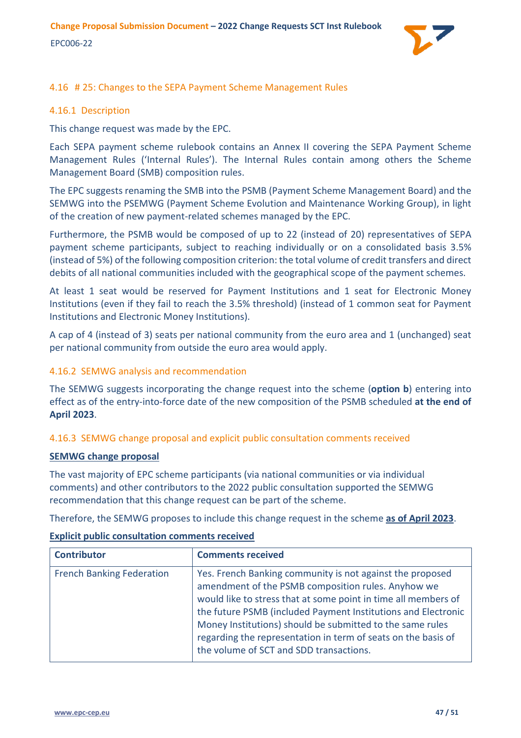

# <span id="page-46-0"></span>4.16 # 25: Changes to the SEPA Payment Scheme Management Rules

# <span id="page-46-1"></span>4.16.1 Description

This change request was made by the EPC.

Each SEPA payment scheme rulebook contains an Annex II covering the SEPA Payment Scheme Management Rules ('Internal Rules'). The Internal Rules contain among others the Scheme Management Board (SMB) composition rules.

The EPC suggests renaming the SMB into the PSMB (Payment Scheme Management Board) and the SEMWG into the PSEMWG (Payment Scheme Evolution and Maintenance Working Group), in light of the creation of new payment-related schemes managed by the EPC.

Furthermore, the PSMB would be composed of up to 22 (instead of 20) representatives of SEPA payment scheme participants, subject to reaching individually or on a consolidated basis 3.5% (instead of 5%) of the following composition criterion: the total volume of credit transfers and direct debits of all national communities included with the geographical scope of the payment schemes.

At least 1 seat would be reserved for Payment Institutions and 1 seat for Electronic Money Institutions (even if they fail to reach the 3.5% threshold) (instead of 1 common seat for Payment Institutions and Electronic Money Institutions).

A cap of 4 (instead of 3) seats per national community from the euro area and 1 (unchanged) seat per national community from outside the euro area would apply.

# <span id="page-46-2"></span>4.16.2 SEMWG analysis and recommendation

The SEMWG suggests incorporating the change request into the scheme (**option b**) entering into effect as of the entry-into-force date of the new composition of the PSMB scheduled **at the end of April 2023**.

<span id="page-46-3"></span>4.16.3 SEMWG change proposal and explicit public consultation comments received

# **SEMWG change proposal**

The vast majority of EPC scheme participants (via national communities or via individual comments) and other contributors to the 2022 public consultation supported the SEMWG recommendation that this change request can be part of the scheme.

Therefore, the SEMWG proposes to include this change request in the scheme **as of April 2023**.

| <b>Contributor</b>               | <b>Comments received</b>                                                                                                                                                                                                                                                                                                                                                                                                    |
|----------------------------------|-----------------------------------------------------------------------------------------------------------------------------------------------------------------------------------------------------------------------------------------------------------------------------------------------------------------------------------------------------------------------------------------------------------------------------|
| <b>French Banking Federation</b> | Yes. French Banking community is not against the proposed<br>amendment of the PSMB composition rules. Anyhow we<br>would like to stress that at some point in time all members of<br>the future PSMB (included Payment Institutions and Electronic<br>Money Institutions) should be submitted to the same rules<br>regarding the representation in term of seats on the basis of<br>the volume of SCT and SDD transactions. |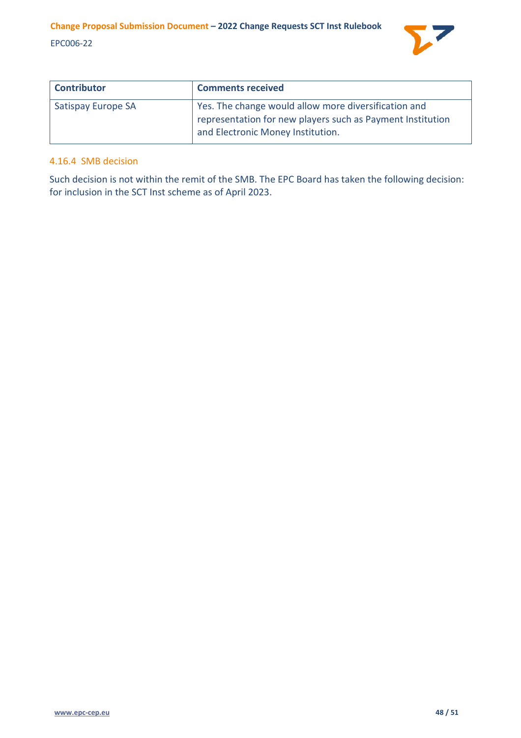

| <b>Contributor</b> | <b>Comments received</b>                                                                                                                                |
|--------------------|---------------------------------------------------------------------------------------------------------------------------------------------------------|
| Satispay Europe SA | Yes. The change would allow more diversification and<br>representation for new players such as Payment Institution<br>and Electronic Money Institution. |

### <span id="page-47-0"></span>4.16.4 SMB decision

Such decision is not within the remit of the SMB. The EPC Board has taken the following decision: for inclusion in the SCT Inst scheme as of April 2023.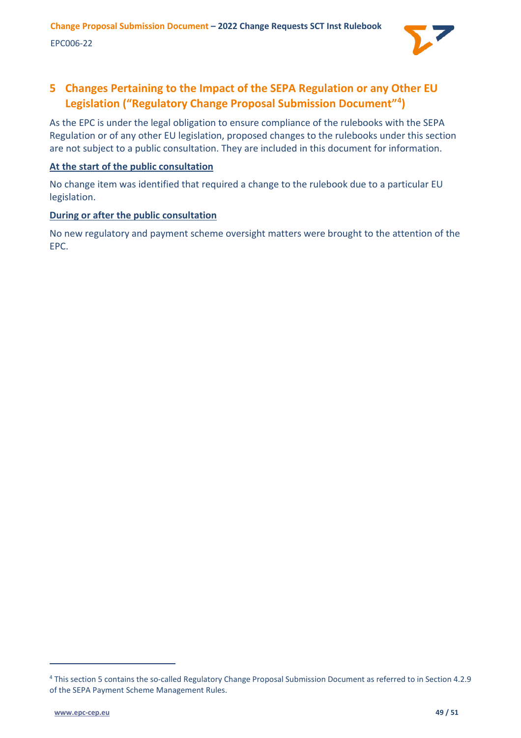

# <span id="page-48-0"></span>**5 Changes Pertaining to the Impact of the SEPA Regulation or any Other EU Legislation ("Regulatory Change Proposal Submission Document"[4](#page-48-1) )**

As the EPC is under the legal obligation to ensure compliance of the rulebooks with the SEPA Regulation or of any other EU legislation, proposed changes to the rulebooks under this section are not subject to a public consultation. They are included in this document for information.

# **At the start of the public consultation**

No change item was identified that required a change to the rulebook due to a particular EU legislation.

# **During or after the public consultation**

No new regulatory and payment scheme oversight matters were brought to the attention of the EPC.

<span id="page-48-1"></span><sup>4</sup> This section 5 contains the so-called Regulatory Change Proposal Submission Document as referred to in Section 4.2.9 of the SEPA Payment Scheme Management Rules.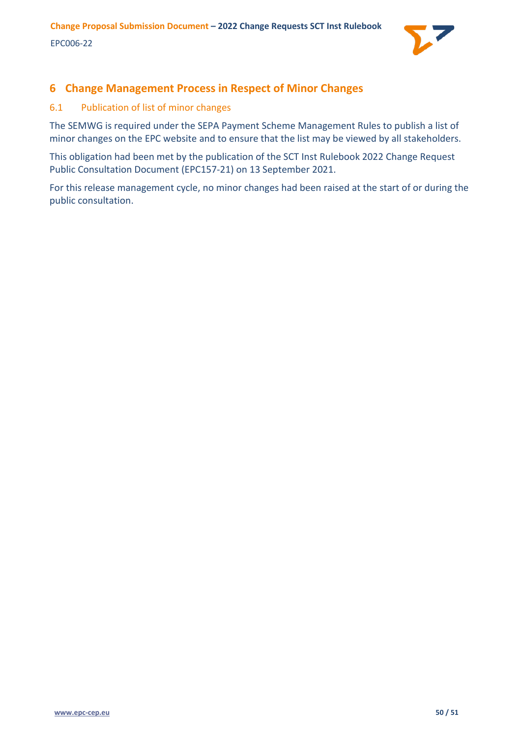

# <span id="page-49-0"></span>**6 Change Management Process in Respect of Minor Changes**

# <span id="page-49-1"></span>6.1 Publication of list of minor changes

The SEMWG is required under the SEPA Payment Scheme Management Rules to publish a list of minor changes on the EPC website and to ensure that the list may be viewed by all stakeholders.

This obligation had been met by the publication of the SCT Inst Rulebook 2022 Change Request Public Consultation Document (EPC157-21) on 13 September 2021.

For this release management cycle, no minor changes had been raised at the start of or during the public consultation.